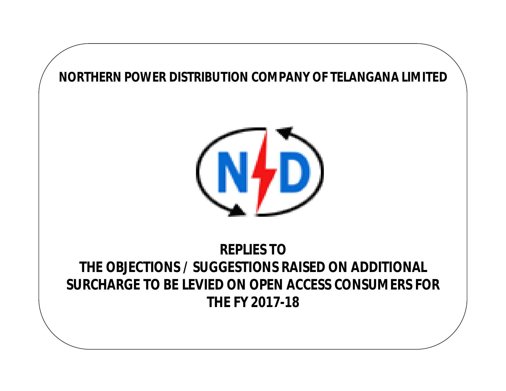



# **REPLIES TO THE OBJECTIONS / SUGGESTIONS RAISED ON ADDITIONAL SURCHARGE TO BE LEVIED ON OPEN ACCESS CONSUMERS FOR THE FY 2017-18**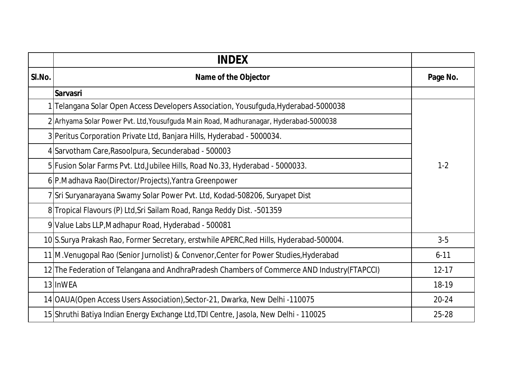|        | <b>INDEX</b>                                                                                 |           |
|--------|----------------------------------------------------------------------------------------------|-----------|
| SI.No. | Name of the Objector                                                                         | Page No.  |
|        | <b>Sarvasri</b>                                                                              |           |
|        | Telangana Solar Open Access Developers Association, Yousufguda, Hyderabad-5000038            |           |
|        | 2 Arhyama Solar Power Pvt. Ltd, Yousufguda Main Road, Madhuranagar, Hyderabad-5000038        |           |
|        | 3 Peritus Corporation Private Ltd, Banjara Hills, Hyderabad - 5000034.                       |           |
|        | 4 Sarvotham Care, Rasoolpura, Secunderabad - 500003                                          |           |
|        | $1 - 2$<br>5 Fusion Solar Farms Pvt. Ltd, Jubilee Hills, Road No.33, Hyderabad - 5000033.    |           |
|        | 6 P.Madhava Rao (Director/Projects), Yantra Greenpower                                       |           |
|        | 7 Sri Suryanarayana Swamy Solar Power Pvt. Ltd, Kodad-508206, Suryapet Dist                  |           |
|        | 8 Tropical Flavours (P) Ltd, Sri Sailam Road, Ranga Reddy Dist. - 501359                     |           |
|        | 9 Value Labs LLP, Madhapur Road, Hyderabad - 500081                                          |           |
|        | 10 S.Surya Prakash Rao, Former Secretary, erstwhile APERC, Red Hills, Hyderabad-500004.      | $3-5$     |
|        | 11 M. Venugopal Rao (Senior Jurnolist) & Convenor, Center for Power Studies, Hyderabad       | $6 - 11$  |
|        | 12 The Federation of Telangana and AndhraPradesh Chambers of Commerce AND Industry (FTAPCCI) | $12 - 17$ |
|        | 13 InWEA                                                                                     | 18-19     |
|        | 14 OAUA (Open Access Users Association), Sector-21, Dwarka, New Delhi -110075                | $20 - 24$ |
|        | 15 Shruthi Batiya Indian Energy Exchange Ltd, TDI Centre, Jasola, New Delhi - 110025         | 25-28     |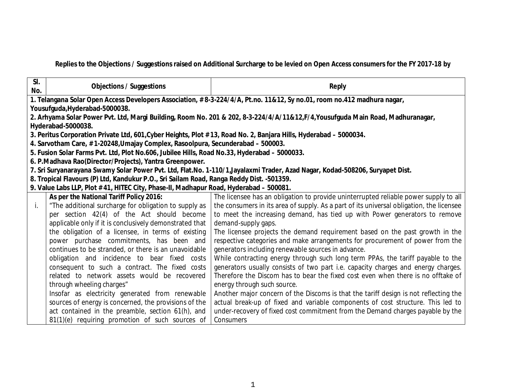**Replies to the Objections / Suggestions raised on Additional Surcharge to be levied on Open Access consumers for the FY 2017-18 by**

| SI.<br>No. | <b>Objections / Suggestions</b>                                                                                               | <b>Reply</b>                                                                                                                   |  |
|------------|-------------------------------------------------------------------------------------------------------------------------------|--------------------------------------------------------------------------------------------------------------------------------|--|
|            | 1. Telangana Solar Open Access Developers Association, #8-3-224/4/A, Pt.no. 11&12, Sy no.01, room no.412 madhura nagar,       |                                                                                                                                |  |
|            | Yousufguda, Hyderabad-5000038.                                                                                                |                                                                                                                                |  |
|            |                                                                                                                               | 2. Arhyama Solar Power Pvt. Ltd, Margi Building, Room No. 201 & 202, 8-3-224/4/A/11&12,F/4,Yousufguda Main Road, Madhuranagar, |  |
|            | Hyderabad-5000038.                                                                                                            |                                                                                                                                |  |
|            | 3. Peritus Corporation Private Ltd, 601, Cyber Heights, Plot #13, Road No. 2, Banjara Hills, Hyderabad - 5000034.             |                                                                                                                                |  |
|            | 4. Sarvotham Care, #1-20248, Umajay Complex, Rasoolpura, Secunderabad - 500003.                                               |                                                                                                                                |  |
|            | 5. Fusion Solar Farms Pvt. Ltd, Plot No.606, Jubilee Hills, Road No.33, Hyderabad - 5000033.                                  |                                                                                                                                |  |
|            | 6. P.Madhava Rao(Director/Projects), Yantra Greenpower.                                                                       |                                                                                                                                |  |
|            | 7. Sri Suryanarayana Swamy Solar Power Pvt. Ltd, Flat.No. 1-110/1, Jayalaxmi Trader, Azad Nagar, Kodad-508206, Suryapet Dist. |                                                                                                                                |  |
|            | 8. Tropical Flavours (P) Ltd, Kandukur P.O., Sri Sailam Road, Ranga Reddy Dist. -501359.                                      |                                                                                                                                |  |
|            | 9. Value Labs LLP, Plot #41, HITEC City, Phase-II, Madhapur Road, Hyderabad - 500081.                                         |                                                                                                                                |  |
|            | As per the National Tariff Policy 2016:                                                                                       | The licensee has an obligation to provide uninterrupted reliable power supply to all                                           |  |
| İ.         | "The additional surcharge for obligation to supply as                                                                         | the consumers in its area of supply. As a part of its universal obligation, the licensee                                       |  |
|            | per section 42(4) of the Act should become                                                                                    | to meet the increasing demand, has tied up with Power generators to remove                                                     |  |
|            | applicable only if it is conclusively demonstrated that                                                                       | demand-supply gaps.                                                                                                            |  |
|            | the obligation of a licensee, in terms of existing                                                                            | The licensee projects the demand requirement based on the past growth in the                                                   |  |
|            | power purchase commitments, has been and                                                                                      | respective categories and make arrangements for procurement of power from the                                                  |  |
|            | continues to be stranded, or there is an unavoidable                                                                          | generators including renewable sources in advance.                                                                             |  |
|            | obligation and incidence to bear fixed costs                                                                                  | While contracting energy through such long term PPAs, the tariff payable to the                                                |  |
|            | consequent to such a contract. The fixed costs                                                                                | generators usually consists of two part i.e. capacity charges and energy charges.                                              |  |
|            | related to network assets would be recovered                                                                                  | Therefore the Discom has to bear the fixed cost even when there is no offtake of                                               |  |
|            | through wheeling charges"                                                                                                     | energy through such source.                                                                                                    |  |
|            | Insofar as electricity generated from renewable                                                                               | Another major concern of the Discoms is that the tariff design is not reflecting the                                           |  |
|            | sources of energy is concerned, the provisions of the                                                                         | actual break-up of fixed and variable components of cost structure. This led to                                                |  |
|            | act contained in the preamble, section 61(h), and                                                                             | under-recovery of fixed cost commitment from the Demand charges payable by the                                                 |  |
|            | 81(1)(e) requiring promotion of such sources of                                                                               | Consumers                                                                                                                      |  |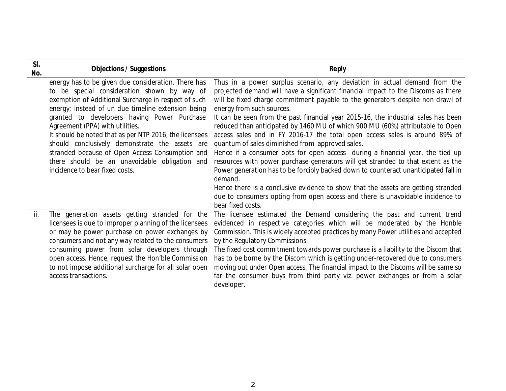| SI.<br>No. | <b>Objections / Suggestions</b>                                                                                                                                                                                                                                                                                                                                                                                                                                                                                                                      | <b>Reply</b>                                                                                                                                                                                                                                                                                                                                                                                                                                                                                                                                                                                                                                                                                                                                                                                                                                                                                                                                                                                                                                                |
|------------|------------------------------------------------------------------------------------------------------------------------------------------------------------------------------------------------------------------------------------------------------------------------------------------------------------------------------------------------------------------------------------------------------------------------------------------------------------------------------------------------------------------------------------------------------|-------------------------------------------------------------------------------------------------------------------------------------------------------------------------------------------------------------------------------------------------------------------------------------------------------------------------------------------------------------------------------------------------------------------------------------------------------------------------------------------------------------------------------------------------------------------------------------------------------------------------------------------------------------------------------------------------------------------------------------------------------------------------------------------------------------------------------------------------------------------------------------------------------------------------------------------------------------------------------------------------------------------------------------------------------------|
|            | energy has to be given due consideration. There has<br>to be special consideration shown by way of<br>exemption of Additional Surcharge in respect of such<br>energy; instead of un due timeline extension being<br>granted to developers having Power Purchase<br>Agreement (PPA) with utilities.<br>It should be noted that as per NTP 2016, the licensees<br>should conclusively demonstrate the assets are<br>stranded because of Open Access Consumption and<br>there should be an unavoidable obligation and<br>incidence to bear fixed costs. | Thus in a power surplus scenario, any deviation in actual demand from the<br>projected demand will have a significant financial impact to the Discoms as there<br>will be fixed charge commitment payable to the generators despite non drawl of<br>energy from such sources.<br>It can be seen from the past financial year 2015-16, the industrial sales has been<br>reduced than anticipated by 1460 MU of which 900 MU (60%) attributable to Open<br>access sales and in FY 2016-17 the total open access sales is around 89% of<br>quantum of sales diminished from approved sales.<br>Hence if a consumer opts for open access during a financial year, the tied up<br>resources with power purchase generators will get stranded to that extent as the<br>Power generation has to be forcibly backed down to counteract unanticipated fall in<br>demand.<br>Hence there is a conclusive evidence to show that the assets are getting stranded<br>due to consumers opting from open access and there is unavoidable incidence to<br>bear fixed costs. |
| ii.        | The generation assets getting stranded for the<br>licensees is due to improper planning of the licensees<br>or may be power purchase on power exchanges by<br>consumers and not any way related to the consumers<br>consuming power from solar developers through<br>open access. Hence, request the Hon'ble Commission<br>to not impose additional surcharge for all solar open<br>access transactions.                                                                                                                                             | The licensee estimated the Demand considering the past and current trend<br>evidenced in respective categories which will be moderated by the Honble<br>Commission. This is widely accepted practices by many Power utilities and accepted<br>by the Regulatory Commissions.<br>The fixed cost commitment towards power purchase is a liability to the Discom that<br>has to be borne by the Discom which is getting under-recovered due to consumers<br>moving out under Open access. The financial impact to the Discoms will be same so<br>far the consumer buys from third party viz. power exchanges or from a solar<br>developer.                                                                                                                                                                                                                                                                                                                                                                                                                     |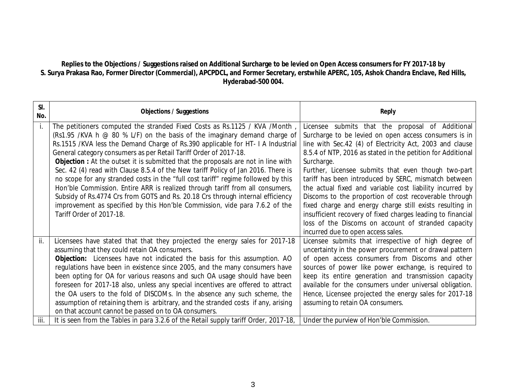### **Replies to the Objections / Suggestions raised on Additional Surcharge to be levied on Open Access consumers for FY 2017-18 by S. Surya Prakasa Rao, Former Director (Commercial), APCPDCL, and Former Secretary, erstwhile APERC, 105, Ashok Chandra Enclave, Red Hills, Hyderabad-500 004.**

| SI.<br>No. | <b>Objections / Suggestions</b>                                                                                                                                                                                                                                                                                                                                                                                                                                                                                                                                                                                                                                                                                                                                                                                                                                            | <b>Reply</b>                                                                                                                                                                                                                                                                                                                                                                                                                                                                                                                                                                                                                                                                                                   |
|------------|----------------------------------------------------------------------------------------------------------------------------------------------------------------------------------------------------------------------------------------------------------------------------------------------------------------------------------------------------------------------------------------------------------------------------------------------------------------------------------------------------------------------------------------------------------------------------------------------------------------------------------------------------------------------------------------------------------------------------------------------------------------------------------------------------------------------------------------------------------------------------|----------------------------------------------------------------------------------------------------------------------------------------------------------------------------------------------------------------------------------------------------------------------------------------------------------------------------------------------------------------------------------------------------------------------------------------------------------------------------------------------------------------------------------------------------------------------------------------------------------------------------------------------------------------------------------------------------------------|
| İ.         | The petitioners computed the stranded Fixed Costs as Rs.1125 / KVA / Month,<br>(Rs1.95 /KVA h $\odot$ 80 % L/F) on the basis of the imaginary demand charge of<br>Rs.1515 /KVA less the Demand Charge of Rs.390 applicable for HT- I A Industrial<br>General category consumers as per Retail Tariff Order of 2017-18.<br><b>Objection</b> : At the outset it is submitted that the proposals are not in line with<br>Sec. 42 (4) read with Clause 8.5.4 of the New tariff Policy of Jan 2016. There is<br>no scope for any stranded costs in the "full cost tariff" regime followed by this<br>Hon'ble Commission. Entire ARR is realized through tariff from all consumers,<br>Subsidy of Rs.4774 Crs from GOTS and Rs. 20.18 Crs through internal efficiency<br>improvement as specified by this Hon'ble Commission, vide para 7.6.2 of the<br>Tariff Order of 2017-18. | Licensee submits that the proposal of Additional<br>Surcharge to be levied on open access consumers is in<br>line with Sec.42 (4) of Electricity Act, 2003 and clause<br>8.5.4 of NTP, 2016 as stated in the petition for Additional<br>Surcharge.<br>Further, Licensee submits that even though two-part<br>tariff has been introduced by SERC, mismatch between<br>the actual fixed and variable cost liability incurred by<br>Discoms to the proportion of cost recoverable through<br>fixed charge and energy charge still exists resulting in<br>insufficient recovery of fixed charges leading to financial<br>loss of the Discoms on account of stranded capacity<br>incurred due to open access sales. |
| ii.        | Licensees have stated that that they projected the energy sales for 2017-18<br>assuming that they could retain OA consumers.<br><b>Objection:</b> Licensees have not indicated the basis for this assumption. AO<br>regulations have been in existence since 2005, and the many consumers have<br>been opting for OA for various reasons and such OA usage should have been<br>foreseen for 2017-18 also, unless any special incentives are offered to attract<br>the OA users to the fold of DISCOMs. In the absence any such scheme, the<br>assumption of retaining them is arbitrary, and the stranded costs if any, arising<br>on that account cannot be passed on to OA consumers.                                                                                                                                                                                    | Licensee submits that irrespective of high degree of<br>uncertainty in the power procurement or drawal pattern<br>of open access consumers from Discoms and other<br>sources of power like power exchange, is required to<br>keep its entire generation and transmission capacity<br>available for the consumers under universal obligation.<br>Hence, Licensee projected the energy sales for 2017-18<br>assuming to retain OA consumers.                                                                                                                                                                                                                                                                     |
| iii.       | It is seen from the Tables in para 3.2.6 of the Retail supply tariff Order, 2017-18,                                                                                                                                                                                                                                                                                                                                                                                                                                                                                                                                                                                                                                                                                                                                                                                       | Under the purview of Hon'ble Commission.                                                                                                                                                                                                                                                                                                                                                                                                                                                                                                                                                                                                                                                                       |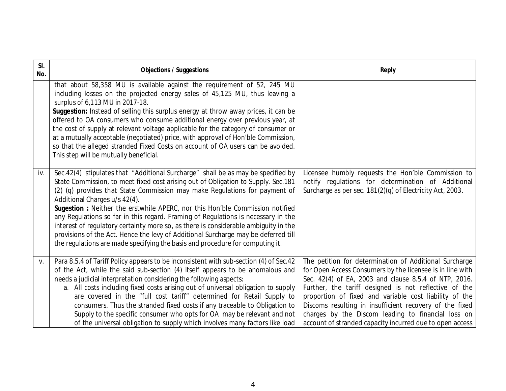| SI.<br>No. | <b>Objections / Suggestions</b>                                                                                                                                                                                                                                                                                                                                                                                                                                                                                                                                                                                                                                                                                                 | <b>Reply</b>                                                                                                                                                                                                                                                                                                                                                                                                                                                                 |
|------------|---------------------------------------------------------------------------------------------------------------------------------------------------------------------------------------------------------------------------------------------------------------------------------------------------------------------------------------------------------------------------------------------------------------------------------------------------------------------------------------------------------------------------------------------------------------------------------------------------------------------------------------------------------------------------------------------------------------------------------|------------------------------------------------------------------------------------------------------------------------------------------------------------------------------------------------------------------------------------------------------------------------------------------------------------------------------------------------------------------------------------------------------------------------------------------------------------------------------|
|            | that about 58,358 MU is available against the requirement of 52, 245 MU<br>including losses on the projected energy sales of 45,125 MU, thus leaving a<br>surplus of 6,113 MU in 2017-18.<br>Suggestion: Instead of selling this surplus energy at throw away prices, it can be<br>offered to OA consumers who consume additional energy over previous year, at<br>the cost of supply at relevant voltage applicable for the category of consumer or<br>at a mutually acceptable (negotiated) price, with approval of Hon'ble Commission,<br>so that the alleged stranded Fixed Costs on account of OA users can be avoided.<br>This step will be mutually beneficial.                                                          |                                                                                                                                                                                                                                                                                                                                                                                                                                                                              |
| iv.        | Sec.42(4) stipulates that "Additional Surcharge" shall be as may be specified by<br>State Commission, to meet fixed cost arising out of Obligation to Supply. Sec.181<br>(2) (q) provides that State Commission may make Regulations for payment of<br>Additional Charges u/s 42(4).<br><b>Sugestion</b> : Neither the erstwhile APERC, nor this Hon'ble Commission notified<br>any Regulations so far in this regard. Framing of Regulations is necessary in the<br>interest of regulatory certainty more so, as there is considerable ambiguity in the<br>provisions of the Act. Hence the levy of Additional Surcharge may be deferred till<br>the regulations are made specifying the basis and procedure for computing it. | Licensee humbly requests the Hon'ble Commission to<br>notify regulations for determination of Additional<br>Surcharge as per sec. 181(2)(q) of Electricity Act, 2003.                                                                                                                                                                                                                                                                                                        |
| ۷.         | Para 8.5.4 of Tariff Policy appears to be inconsistent with sub-section (4) of Sec.42<br>of the Act, while the said sub-section (4) itself appears to be anomalous and<br>needs a judicial interpretation considering the following aspects:<br>a. All costs including fixed costs arising out of universal obligation to supply<br>are covered in the "full cost tariff" determined for Retail Supply to<br>consumers. Thus the stranded fixed costs if any traceable to Obligation to<br>Supply to the specific consumer who opts for OA may be relevant and not<br>of the universal obligation to supply which involves many factors like load                                                                               | The petition for determination of Additional Surcharge<br>for Open Access Consumers by the licensee is in line with<br>Sec. 42(4) of EA, 2003 and clause 8.5.4 of NTP, 2016.<br>Further, the tariff designed is not reflective of the<br>proportion of fixed and variable cost liability of the<br>Discoms resulting in insufficient recovery of the fixed<br>charges by the Discom leading to financial loss on<br>account of stranded capacity incurred due to open access |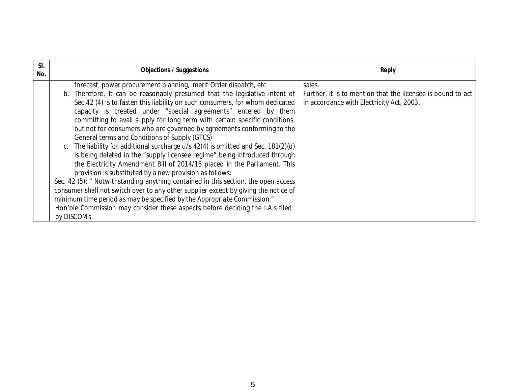| SI.<br>No. | <b>Objections / Suggestions</b>                                                                                                                                                                                                                                                                                                                                                                                                                                                                                                                                                                                                                                                                                                                                                                                                                                                                                                                                                                                                                                                                                                                                              | <b>Reply</b>                                                                                                       |
|------------|------------------------------------------------------------------------------------------------------------------------------------------------------------------------------------------------------------------------------------------------------------------------------------------------------------------------------------------------------------------------------------------------------------------------------------------------------------------------------------------------------------------------------------------------------------------------------------------------------------------------------------------------------------------------------------------------------------------------------------------------------------------------------------------------------------------------------------------------------------------------------------------------------------------------------------------------------------------------------------------------------------------------------------------------------------------------------------------------------------------------------------------------------------------------------|--------------------------------------------------------------------------------------------------------------------|
|            | forecast, power procurement planning, merit Order dispatch, etc.<br>b. Therefore, It can be reasonably presumed that the legislative intent of<br>Sec. 42 (4) is to fasten this liability on such consumers, for whom dedicated<br>capacity is created under "special agreements" entered by them<br>committing to avail supply for long term with certain specific conditions,<br>but not for consumers who are governed by agreements conforming to the<br>General terms and Conditions of Supply (GTCS)<br>c. The liability for additional surcharge u/s 42(4) is omitted and Sec. 181(2)(q)<br>is being deleted in the "supply licensee regime" being introduced through<br>the Electricity Amendment Bill of 2014/15 placed in the Parliament. This<br>provision is substituted by a new provision as follows:<br>Sec. 42 (5): " Notwithstanding anything contained in this section, the open access<br>consumer shall not switch over to any other supplier except by giving the notice of<br>minimum time period as may be specified by the Appropriate Commission.".<br>Hon'ble Commission may consider these aspects before deciding the I.A.s filed<br>by DISCOMs. | sales.<br>Further, it is to mention that the licensee is bound to act<br>in accordance with Electricity Act, 2003. |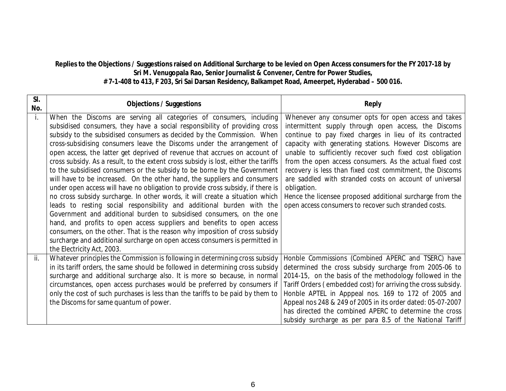#### **Replies to the Objections / Suggestions raised on Additional Surcharge to be levied on Open Access consumers for the FY 2017-18 by Sri M. Venugopala Rao, Senior Journalist & Convener, Centre for Power Studies, # 7-1-408 to 413, F 203, Sri Sai Darsan Residency, Balkampet Road, Ameerpet, Hyderabad – 500 016.**

| SI.<br>No. | <b>Objections / Suggestions</b>                                                                                                                                 | <b>Reply</b>                                                             |
|------------|-----------------------------------------------------------------------------------------------------------------------------------------------------------------|--------------------------------------------------------------------------|
| İ.         | When the Discoms are serving all categories of consumers, including                                                                                             | Whenever any consumer opts for open access and takes                     |
|            | subsidised consumers, they have a social responsibility of providing cross                                                                                      | intermittent supply through open access, the Discoms                     |
|            | subsidy to the subsidised consumers as decided by the Commission. When                                                                                          | continue to pay fixed charges in lieu of its contracted                  |
|            | cross-subsidising consumers leave the Discoms under the arrangement of                                                                                          | capacity with generating stations. However Discoms are                   |
|            | open access, the latter get deprived of revenue that accrues on account of                                                                                      | unable to sufficiently recover such fixed cost obligation                |
|            | cross subsidy. As a result, to the extent cross subsidy is lost, either the tariffs                                                                             | from the open access consumers. As the actual fixed cost                 |
|            | to the subsidised consumers or the subsidy to be borne by the Government                                                                                        | recovery is less than fixed cost commitment, the Discoms                 |
|            | will have to be increased. On the other hand, the suppliers and consumers                                                                                       | are saddled with stranded costs on account of universal                  |
|            | under open access will have no obligation to provide cross subsidy, if there is<br>no cross subsidy surcharge. In other words, it will create a situation which | obligation.<br>Hence the licensee proposed additional surcharge from the |
|            | leads to resting social responsibility and additional burden with the                                                                                           | open access consumers to recover such stranded costs.                    |
|            | Government and additional burden to subsidised consumers, on the one                                                                                            |                                                                          |
|            | hand, and profits to open access suppliers and benefits to open access                                                                                          |                                                                          |
|            | consumers, on the other. That is the reason why imposition of cross subsidy                                                                                     |                                                                          |
|            | surcharge and additional surcharge on open access consumers is permitted in                                                                                     |                                                                          |
|            | the Electricity Act, 2003.                                                                                                                                      |                                                                          |
| ii.        | Whatever principles the Commission is following in determining cross subsidy                                                                                    | Honble Commissions (Combined APERC and TSERC) have                       |
|            | in its tariff orders, the same should be followed in determining cross subsidy                                                                                  | determined the cross subsidy surcharge from 2005-06 to                   |
|            | surcharge and additional surcharge also. It is more so because, in normal                                                                                       | 2014-15, on the basis of the methodology followed in the                 |
|            | circumstances, open access purchases would be preferred by consumers if                                                                                         | Tariff Orders (embedded cost) for arriving the cross subsidy.            |
|            | only the cost of such purchases is less than the tariffs to be paid by them to                                                                                  | Honble APTEL in Apppeal nos. 169 to 172 of 2005 and                      |
|            | the Discoms for same quantum of power.                                                                                                                          | Appeal nos 248 & 249 of 2005 in its order dated: 05-07-2007              |
|            |                                                                                                                                                                 | has directed the combined APERC to determine the cross                   |
|            |                                                                                                                                                                 | subsidy surcharge as per para 8.5 of the National Tariff                 |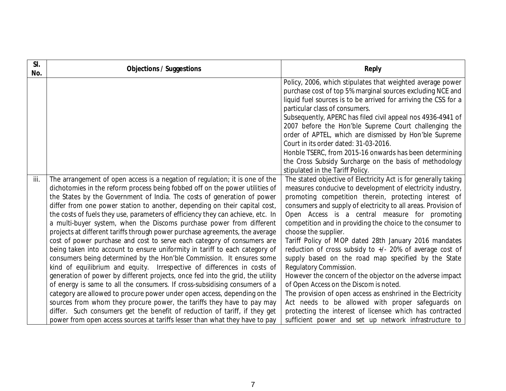| SI.<br>No. | <b>Objections / Suggestions</b>                                                                                                                                                                                                                                                                                                                                                                                                                                                                                                                                                                                                                                                                                                                                                                                                                                                                                                                                                                                                                                                                                                                                                                                                                                                                                                                                     | <b>Reply</b>                                                                                                                                                                                                                                                                                                                                                                                                                                                                                                                                                                                                                                                                                                                                                                                                                                                                                                                                            |
|------------|---------------------------------------------------------------------------------------------------------------------------------------------------------------------------------------------------------------------------------------------------------------------------------------------------------------------------------------------------------------------------------------------------------------------------------------------------------------------------------------------------------------------------------------------------------------------------------------------------------------------------------------------------------------------------------------------------------------------------------------------------------------------------------------------------------------------------------------------------------------------------------------------------------------------------------------------------------------------------------------------------------------------------------------------------------------------------------------------------------------------------------------------------------------------------------------------------------------------------------------------------------------------------------------------------------------------------------------------------------------------|---------------------------------------------------------------------------------------------------------------------------------------------------------------------------------------------------------------------------------------------------------------------------------------------------------------------------------------------------------------------------------------------------------------------------------------------------------------------------------------------------------------------------------------------------------------------------------------------------------------------------------------------------------------------------------------------------------------------------------------------------------------------------------------------------------------------------------------------------------------------------------------------------------------------------------------------------------|
|            |                                                                                                                                                                                                                                                                                                                                                                                                                                                                                                                                                                                                                                                                                                                                                                                                                                                                                                                                                                                                                                                                                                                                                                                                                                                                                                                                                                     | Policy, 2006, which stipulates that weighted average power<br>purchase cost of top 5% marginal sources excluding NCE and<br>liquid fuel sources is to be arrived for arriving the CSS for a<br>particular class of consumers.<br>Subsequently, APERC has filed civil appeal nos 4936-4941 of<br>2007 before the Hon'ble Supreme Court challenging the<br>order of APTEL, which are dismissed by Hon'ble Supreme<br>Court in its order dated: 31-03-2016.                                                                                                                                                                                                                                                                                                                                                                                                                                                                                                |
|            |                                                                                                                                                                                                                                                                                                                                                                                                                                                                                                                                                                                                                                                                                                                                                                                                                                                                                                                                                                                                                                                                                                                                                                                                                                                                                                                                                                     | Honble TSERC, from 2015-16 onwards has been determining<br>the Cross Subsidy Surcharge on the basis of methodology<br>stipulated in the Tariff Policy.                                                                                                                                                                                                                                                                                                                                                                                                                                                                                                                                                                                                                                                                                                                                                                                                  |
| iii.       | The arrangement of open access is a negation of regulation; it is one of the<br>dichotomies in the reform process being fobbed off on the power utilities of<br>the States by the Government of India. The costs of generation of power<br>differ from one power station to another, depending on their capital cost,<br>the costs of fuels they use, parameters of efficiency they can achieve, etc. In<br>a multi-buyer system, when the Discoms purchase power from different<br>projects at different tariffs through power purchase agreements, the average<br>cost of power purchase and cost to serve each category of consumers are<br>being taken into account to ensure uniformity in tariff to each category of<br>consumers being determined by the Hon'ble Commission. It ensures some<br>kind of equilibrium and equity. Irrespective of differences in costs of<br>generation of power by different projects, once fed into the grid, the utility<br>of energy is same to all the consumers. If cross-subsidising consumers of a<br>category are allowed to procure power under open access, depending on the<br>sources from whom they procure power, the tariffs they have to pay may<br>differ. Such consumers get the benefit of reduction of tariff, if they get<br>power from open access sources at tariffs lesser than what they have to pay | The stated objective of Electricity Act is for generally taking<br>measures conducive to development of electricity industry,<br>promoting competition therein, protecting interest of<br>consumers and supply of electricity to all areas. Provision of<br>Open Access is a central measure for promoting<br>competition and in providing the choice to the consumer to<br>choose the supplier.<br>Tariff Policy of MOP dated 28th January 2016 mandates<br>reduction of cross subsidy to +/- 20% of average cost of<br>supply based on the road map specified by the State<br>Regulatory Commission.<br>However the concern of the objector on the adverse impact<br>of Open Access on the Discom is noted.<br>The provision of open access as enshrined in the Electricity<br>Act needs to be allowed with proper safeguards on<br>protecting the interest of licensee which has contracted<br>sufficient power and set up network infrastructure to |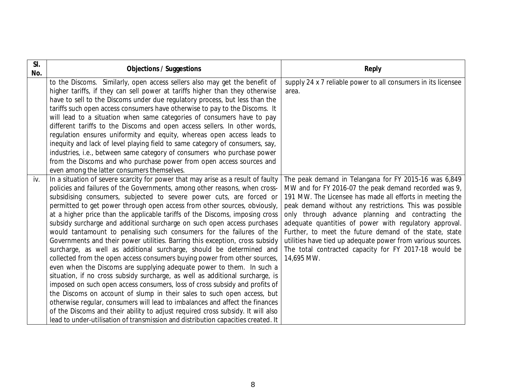| SI.<br>No. | <b>Objections / Suggestions</b>                                                                                                                                                                                                                                                                                                                                                                                                                                                                                                                                                                                                                                                                                                                                                                                                                                                                                                                                                                                                                                                                                                                                                                                                                                                                                                                                                                                          | <b>Reply</b>                                                                                                                                                                                                                                                                                                                                                                                                                                                                                                                                         |
|------------|--------------------------------------------------------------------------------------------------------------------------------------------------------------------------------------------------------------------------------------------------------------------------------------------------------------------------------------------------------------------------------------------------------------------------------------------------------------------------------------------------------------------------------------------------------------------------------------------------------------------------------------------------------------------------------------------------------------------------------------------------------------------------------------------------------------------------------------------------------------------------------------------------------------------------------------------------------------------------------------------------------------------------------------------------------------------------------------------------------------------------------------------------------------------------------------------------------------------------------------------------------------------------------------------------------------------------------------------------------------------------------------------------------------------------|------------------------------------------------------------------------------------------------------------------------------------------------------------------------------------------------------------------------------------------------------------------------------------------------------------------------------------------------------------------------------------------------------------------------------------------------------------------------------------------------------------------------------------------------------|
|            | to the Discoms. Similarly, open access sellers also may get the benefit of<br>higher tariffs, if they can sell power at tariffs higher than they otherwise<br>have to sell to the Discoms under due regulatory process, but less than the<br>tariffs such open access consumers have otherwise to pay to the Discoms. It<br>will lead to a situation when same categories of consumers have to pay<br>different tariffs to the Discoms and open access sellers. In other words,<br>regulation ensures uniformity and equity, whereas open access leads to<br>inequity and lack of level playing field to same category of consumers, say,<br>industries, i.e., between same category of consumers who purchase power<br>from the Discoms and who purchase power from open access sources and                                                                                                                                                                                                                                                                                                                                                                                                                                                                                                                                                                                                                             | supply 24 x 7 reliable power to all consumers in its licensee<br>area.                                                                                                                                                                                                                                                                                                                                                                                                                                                                               |
| iv.        | even among the latter consumers themselves.<br>In a situation of severe scarcity for power that may arise as a result of faulty<br>policies and failures of the Governments, among other reasons, when cross-<br>subsidising consumers, subjected to severe power cuts, are forced or<br>permitted to get power through open access from other sources, obviously,<br>at a higher price than the applicable tariffs of the Discoms, imposing cross<br>subsidy surcharge and additional surcharge on such open access purchases<br>would tantamount to penalising such consumers for the failures of the<br>Governments and their power utilities. Barring this exception, cross subsidy<br>surcharge, as well as additional surcharge, should be determined and<br>collected from the open access consumers buying power from other sources,<br>even when the Discoms are supplying adequate power to them. In such a<br>situation, if no cross subsidy surcharge, as well as additional surcharge, is<br>imposed on such open access consumers, loss of cross subsidy and profits of<br>the Discoms on account of slump in their sales to such open access, but<br>otherwise regular, consumers will lead to imbalances and affect the finances<br>of the Discoms and their ability to adjust required cross subsidy. It will also<br>lead to under-utilisation of transmission and distribution capacities created. It | The peak demand in Telangana for FY 2015-16 was 6,849<br>MW and for FY 2016-07 the peak demand recorded was 9,<br>191 MW. The Licensee has made all efforts in meeting the<br>peak demand without any restrictions. This was possible<br>only through advance planning and contracting the<br>adequate quantities of power with regulatory approval.<br>Further, to meet the future demand of the state, state<br>utilities have tied up adequate power from various sources.<br>The total contracted capacity for FY 2017-18 would be<br>14,695 MW. |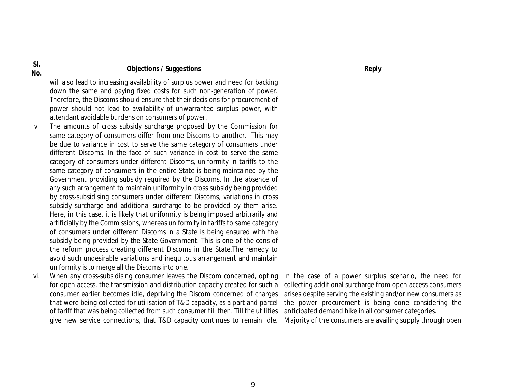| SI.<br>No. | <b>Objections / Suggestions</b>                                                     | <b>Reply</b>                                                |
|------------|-------------------------------------------------------------------------------------|-------------------------------------------------------------|
|            | will also lead to increasing availability of surplus power and need for backing     |                                                             |
|            | down the same and paying fixed costs for such non-generation of power.              |                                                             |
|            | Therefore, the Discoms should ensure that their decisions for procurement of        |                                                             |
|            | power should not lead to availability of unwarranted surplus power, with            |                                                             |
|            | attendant avoidable burdens on consumers of power.                                  |                                                             |
| V.         | The amounts of cross subsidy surcharge proposed by the Commission for               |                                                             |
|            | same category of consumers differ from one Discoms to another. This may             |                                                             |
|            | be due to variance in cost to serve the same category of consumers under            |                                                             |
|            | different Discoms. In the face of such variance in cost to serve the same           |                                                             |
|            | category of consumers under different Discoms, uniformity in tariffs to the         |                                                             |
|            | same category of consumers in the entire State is being maintained by the           |                                                             |
|            | Government providing subsidy required by the Discoms. In the absence of             |                                                             |
|            | any such arrangement to maintain uniformity in cross subsidy being provided         |                                                             |
|            | by cross-subsidising consumers under different Discoms, variations in cross         |                                                             |
|            | subsidy surcharge and additional surcharge to be provided by them arise.            |                                                             |
|            | Here, in this case, it is likely that uniformity is being imposed arbitrarily and   |                                                             |
|            | artificially by the Commissions, whereas uniformity in tariffs to same category     |                                                             |
|            | of consumers under different Discoms in a State is being ensured with the           |                                                             |
|            | subsidy being provided by the State Government. This is one of the cons of          |                                                             |
|            | the reform process creating different Discoms in the State. The remedy to           |                                                             |
|            | avoid such undesirable variations and inequitous arrangement and maintain           |                                                             |
|            | uniformity is to merge all the Discoms into one.                                    |                                                             |
| vi.        | When any cross-subsidising consumer leaves the Discom concerned, opting             | In the case of a power surplus scenario, the need for       |
|            | for open access, the transmission and distribution capacity created for such a      | collecting additional surcharge from open access consumers  |
|            | consumer earlier becomes idle, depriving the Discom concerned of charges            | arises despite serving the existing and/or new consumers as |
|            | that were being collected for utilisation of T&D capacity, as a part and parcel     | the power procurement is being done considering the         |
|            | of tariff that was being collected from such consumer till then. Till the utilities | anticipated demand hike in all consumer categories.         |
|            | give new service connections, that T&D capacity continues to remain idle.           | Majority of the consumers are availing supply through open  |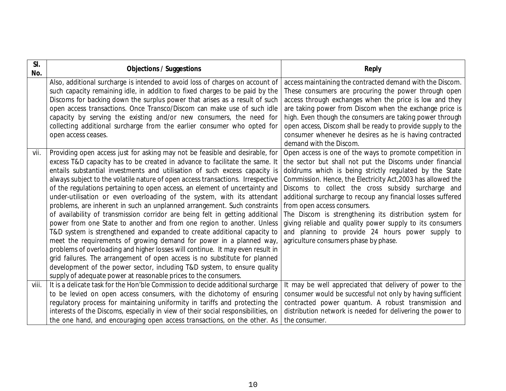| SI.<br>No. | <b>Objections / Suggestions</b>                                                                                                                                                                                                                                                                                                                                                                                                                                                                                                                                                                                                                                                                                                                                                                                                                                                                                                                                                                                                                                                                                                                                                                  | <b>Reply</b>                                                                                                                                                                                                                                                                                                                                                                                                                                                                                                                                                                                                              |
|------------|--------------------------------------------------------------------------------------------------------------------------------------------------------------------------------------------------------------------------------------------------------------------------------------------------------------------------------------------------------------------------------------------------------------------------------------------------------------------------------------------------------------------------------------------------------------------------------------------------------------------------------------------------------------------------------------------------------------------------------------------------------------------------------------------------------------------------------------------------------------------------------------------------------------------------------------------------------------------------------------------------------------------------------------------------------------------------------------------------------------------------------------------------------------------------------------------------|---------------------------------------------------------------------------------------------------------------------------------------------------------------------------------------------------------------------------------------------------------------------------------------------------------------------------------------------------------------------------------------------------------------------------------------------------------------------------------------------------------------------------------------------------------------------------------------------------------------------------|
|            | Also, additional surcharge is intended to avoid loss of charges on account of<br>such capacity remaining idle, in addition to fixed charges to be paid by the<br>Discoms for backing down the surplus power that arises as a result of such<br>open access transactions. Once Transco/Discom can make use of such idle<br>capacity by serving the existing and/or new consumers, the need for<br>collecting additional surcharge from the earlier consumer who opted for<br>open access ceases.                                                                                                                                                                                                                                                                                                                                                                                                                                                                                                                                                                                                                                                                                                  | access maintaining the contracted demand with the Discom.<br>These consumers are procuring the power through open<br>access through exchanges when the price is low and they<br>are taking power from Discom when the exchange price is<br>high. Even though the consumers are taking power through<br>open access, Discom shall be ready to provide supply to the<br>consumer whenever he desires as he is having contracted<br>demand with the Discom.                                                                                                                                                                  |
| vii.       | Providing open access just for asking may not be feasible and desirable, for<br>excess T&D capacity has to be created in advance to facilitate the same. It<br>entails substantial investments and utilisation of such excess capacity is<br>always subject to the volatile nature of open access transactions. Irrespective<br>of the regulations pertaining to open access, an element of uncertainty and<br>under-utilisation or even overloading of the system, with its attendant<br>problems, are inherent in such an unplanned arrangement. Such constraints<br>of availability of transmission corridor are being felt in getting additional<br>power from one State to another and from one region to another. Unless<br>T&D system is strengthened and expanded to create additional capacity to<br>meet the requirements of growing demand for power in a planned way,<br>problems of overloading and higher losses will continue. It may even result in<br>grid failures. The arrangement of open access is no substitute for planned<br>development of the power sector, including T&D system, to ensure quality<br>supply of adequate power at reasonable prices to the consumers. | Open access is one of the ways to promote competition in<br>the sector but shall not put the Discoms under financial<br>doldrums which is being strictly regulated by the State<br>Commission. Hence, the Electricity Act, 2003 has allowed the<br>Discoms to collect the cross subsidy surcharge and<br>additional surcharge to recoup any financial losses suffered<br>from open access consumers.<br>The Discom is strengthening its distribution system for<br>giving reliable and quality power supply to its consumers<br>and planning to provide 24 hours power supply to<br>agriculture consumers phase by phase. |
| viii.      | It is a delicate task for the Hon'ble Commission to decide additional surcharge<br>to be levied on open access consumers, with the dichotomy of ensuring<br>regulatory process for maintaining uniformity in tariffs and protecting the<br>interests of the Discoms, especially in view of their social responsibilities, on<br>the one hand, and encouraging open access transactions, on the other. As                                                                                                                                                                                                                                                                                                                                                                                                                                                                                                                                                                                                                                                                                                                                                                                         | It may be well appreciated that delivery of power to the<br>consumer would be successful not only by having sufficient<br>contracted power quantum. A robust transmission and<br>distribution network is needed for delivering the power to<br>the consumer.                                                                                                                                                                                                                                                                                                                                                              |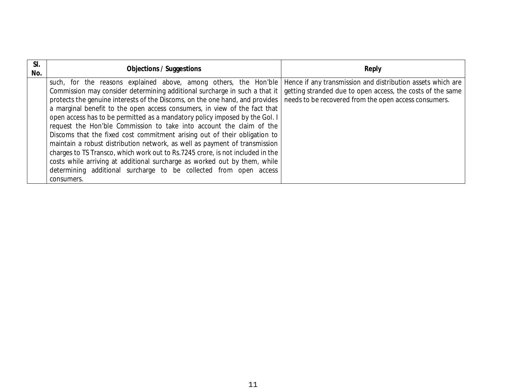| SI.<br>No. | <b>Objections / Suggestions</b>                                                                                                                                                                                                                                                                                                                                                                                                                                                                                                                                                                                                                                                                                                                                                                                                                                   | <b>Reply</b>                                                                                                                                                                       |
|------------|-------------------------------------------------------------------------------------------------------------------------------------------------------------------------------------------------------------------------------------------------------------------------------------------------------------------------------------------------------------------------------------------------------------------------------------------------------------------------------------------------------------------------------------------------------------------------------------------------------------------------------------------------------------------------------------------------------------------------------------------------------------------------------------------------------------------------------------------------------------------|------------------------------------------------------------------------------------------------------------------------------------------------------------------------------------|
|            | such, for the reasons explained above, among others, the Hon'ble<br>Commission may consider determining additional surcharge in such a that it<br>protects the genuine interests of the Discoms, on the one hand, and provides<br>a marginal benefit to the open access consumers, in view of the fact that<br>open access has to be permitted as a mandatory policy imposed by the Gol. I<br>request the Hon'ble Commission to take into account the claim of the<br>Discoms that the fixed cost commitment arising out of their obligation to<br>maintain a robust distribution network, as well as payment of transmission<br>charges to TS Transco, which work out to Rs.7245 crore, is not included in the<br>costs while arriving at additional surcharge as worked out by them, while<br>determining additional surcharge to be collected from open access | Hence if any transmission and distribution assets which are<br>getting stranded due to open access, the costs of the same<br>needs to be recovered from the open access consumers. |
|            | consumers.                                                                                                                                                                                                                                                                                                                                                                                                                                                                                                                                                                                                                                                                                                                                                                                                                                                        |                                                                                                                                                                                    |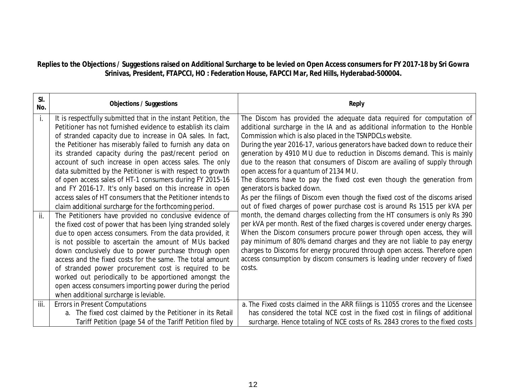# **Replies to the Objections / Suggestions raised on Additional Surcharge to be levied on Open Access consumers for FY 2017-18 by Sri Gowra Srinivas, President, FTAPCCI, HO : Federation House, FAPCCI Mar, Red Hills, Hyderabad-500004.**

| SI.<br>No. | <b>Objections / Suggestions</b>                                                                                                                                                                                                                                                                                                                                                                                                                                                                                                                                                                                                                                                                                                                                                                                                                                                                                                                                                                                                                                                                                                                                                                                                                                                          | <b>Reply</b>                                                                                                                                                                                                                                                                                                                                                                                                                                                                                                                                                                                                                                                                                                                                                                                                                                                                                                                                                                                                                                                                                                                                                                                                                                                    |
|------------|------------------------------------------------------------------------------------------------------------------------------------------------------------------------------------------------------------------------------------------------------------------------------------------------------------------------------------------------------------------------------------------------------------------------------------------------------------------------------------------------------------------------------------------------------------------------------------------------------------------------------------------------------------------------------------------------------------------------------------------------------------------------------------------------------------------------------------------------------------------------------------------------------------------------------------------------------------------------------------------------------------------------------------------------------------------------------------------------------------------------------------------------------------------------------------------------------------------------------------------------------------------------------------------|-----------------------------------------------------------------------------------------------------------------------------------------------------------------------------------------------------------------------------------------------------------------------------------------------------------------------------------------------------------------------------------------------------------------------------------------------------------------------------------------------------------------------------------------------------------------------------------------------------------------------------------------------------------------------------------------------------------------------------------------------------------------------------------------------------------------------------------------------------------------------------------------------------------------------------------------------------------------------------------------------------------------------------------------------------------------------------------------------------------------------------------------------------------------------------------------------------------------------------------------------------------------|
| ii.        | It is respectfully submitted that in the instant Petition, the<br>Petitioner has not furnished evidence to establish its claim<br>of stranded capacity due to increase in OA sales. In fact,<br>the Petitioner has miserably failed to furnish any data on<br>its stranded capacity during the past/recent period on<br>account of such increase in open access sales. The only<br>data submitted by the Petitioner is with respect to growth<br>of open access sales of HT-1 consumers during FY 2015-16<br>and FY 2016-17. It's only based on this increase in open<br>access sales of HT consumers that the Petitioner intends to<br>claim additional surcharge for the forthcoming period.<br>The Petitioners have provided no conclusive evidence of<br>the fixed cost of power that has been lying stranded solely<br>due to open access consumers. From the data provided, it<br>is not possible to ascertain the amount of MUs backed<br>down conclusively due to power purchase through open<br>access and the fixed costs for the same. The total amount<br>of stranded power procurement cost is required to be<br>worked out periodically to be apportioned amongst the<br>open access consumers importing power during the period<br>when additional surcharge is leviable. | The Discom has provided the adequate data required for computation of<br>additional surcharge in the IA and as additional information to the Honble<br>Commission which is also placed in the TSNPDCLs website.<br>During the year 2016-17, various generators have backed down to reduce their<br>generation by 4910 MU due to reduction in Discoms demand. This is mainly<br>due to the reason that consumers of Discom are availing of supply through<br>open access for a quantum of 2134 MU.<br>The discoms have to pay the fixed cost even though the generation from<br>generators is backed down.<br>As per the filings of Discom even though the fixed cost of the discoms arised<br>out of fixed charges of power purchase cost is around Rs 1515 per kVA per<br>month, the demand charges collecting from the HT consumers is only Rs 390<br>per kVA per month. Rest of the fixed charges is covered under energy charges.<br>When the Discom consumers procure power through open access, they will<br>pay minimum of 80% demand charges and they are not liable to pay energy<br>charges to Discoms for energy procured through open access. Therefore open<br>access consumption by discom consumers is leading under recovery of fixed<br>costs. |
| iii.       | <b>Errors in Present Computations</b><br>a. The fixed cost claimed by the Petitioner in its Retail<br>Tariff Petition (page 54 of the Tariff Petition filed by                                                                                                                                                                                                                                                                                                                                                                                                                                                                                                                                                                                                                                                                                                                                                                                                                                                                                                                                                                                                                                                                                                                           | a. The Fixed costs claimed in the ARR filings is 11055 crores and the Licensee<br>has considered the total NCE cost in the fixed cost in filings of additional<br>surcharge. Hence totaling of NCE costs of Rs. 2843 crores to the fixed costs                                                                                                                                                                                                                                                                                                                                                                                                                                                                                                                                                                                                                                                                                                                                                                                                                                                                                                                                                                                                                  |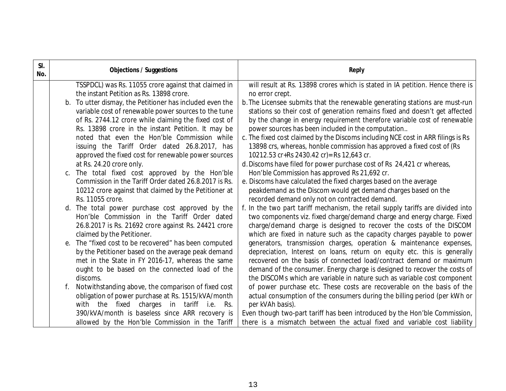| SI.<br>No. |    | <b>Objections / Suggestions</b>                          | <b>Reply</b>                                                                     |
|------------|----|----------------------------------------------------------|----------------------------------------------------------------------------------|
|            |    | TSSPDCL) was Rs. 11055 crore against that claimed in     | will result at Rs. 13898 crores which is stated in IA petition. Hence there is   |
|            |    | the instant Petition as Rs. 13898 crore.                 | no error crept.                                                                  |
|            |    | b. To utter dismay, the Petitioner has included even the | b. The Licensee submits that the renewable generating stations are must-run      |
|            |    | variable cost of renewable power sources to the tune     | stations so their cost of generation remains fixed and doesn't get affected      |
|            |    | of Rs. 2744.12 crore while claiming the fixed cost of    | by the change in energy requirement therefore variable cost of renewable         |
|            |    | Rs. 13898 crore in the instant Petition. It may be       | power sources has been included in the computation                               |
|            |    | noted that even the Hon'ble Commission while             | c. The fixed cost claimed by the Discoms including NCE cost in ARR filings is Rs |
|            |    | issuing the Tariff Order dated 26.8.2017, has            | 13898 crs, whereas, honble commission has approved a fixed cost of (Rs           |
|            |    | approved the fixed cost for renewable power sources      | 10212.53 cr+Rs 2430.42 cr)= Rs 12,643 cr.                                        |
|            |    | at Rs. 24.20 crore only.                                 | d. Discoms have filed for power purchase cost of Rs 24,421 cr whereas,           |
|            |    | c. The total fixed cost approved by the Hon'ble          | Hon'ble Commission has approved Rs 21,692 cr.                                    |
|            |    | Commission in the Tariff Order dated 26.8.2017 is Rs.    | e. Discoms have calculated the fixed charges based on the average                |
|            |    | 10212 crore against that claimed by the Petitioner at    | peakdemand as the Discom would get demand charges based on the                   |
|            |    | Rs. 11055 crore.                                         | recorded demand only not on contracted demand.                                   |
|            |    | d. The total power purchase cost approved by the         | f. In the two part tariff mechanism, the retail supply tariffs are divided into  |
|            |    | Hon'ble Commission in the Tariff Order dated             | two components viz. fixed charge/demand charge and energy charge. Fixed          |
|            |    | 26.8.2017 is Rs. 21692 crore against Rs. 24421 crore     | charge/demand charge is designed to recover the costs of the DISCOM              |
|            |    | claimed by the Petitioner.                               | which are fixed in nature such as the capacity charges payable to power          |
|            | е. | The "fixed cost to be recovered" has been computed       | generators, transmission charges, operation & maintenance expenses,              |
|            |    | by the Petitioner based on the average peak demand       | depreciation, Interest on loans, return on equity etc. this is generally         |
|            |    | met in the State in FY 2016-17, whereas the same         | recovered on the basis of connected load/contract demand or maximum              |
|            |    | ought to be based on the connected load of the           | demand of the consumer. Energy charge is designed to recover the costs of        |
|            |    | discoms.                                                 | the DISCOMs which are variable in nature such as variable cost component         |
|            |    | Notwithstanding above, the comparison of fixed cost      | of power purchase etc. These costs are recoverable on the basis of the           |
|            |    | obligation of power purchase at Rs. 1515/kVA/month       | actual consumption of the consumers during the billing period (per kWh or        |
|            |    | with the fixed charges in tariff i.e.<br>Rs.             | per kVAh basis).                                                                 |
|            |    | 390/kVA/month is baseless since ARR recovery is          | Even though two-part tariff has been introduced by the Hon'ble Commission,       |
|            |    | allowed by the Hon'ble Commission in the Tariff          | there is a mismatch between the actual fixed and variable cost liability         |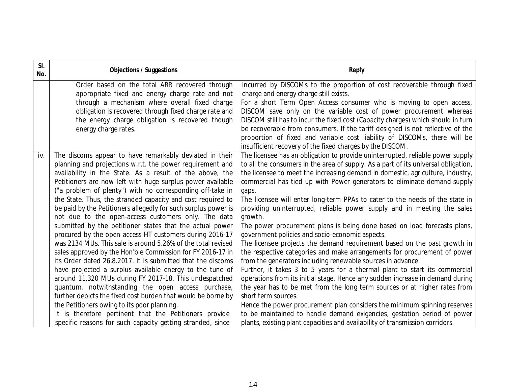| SI.<br>No. | <b>Objections / Suggestions</b>                                                                                         | <b>Reply</b>                                                                                                                            |
|------------|-------------------------------------------------------------------------------------------------------------------------|-----------------------------------------------------------------------------------------------------------------------------------------|
|            | Order based on the total ARR recovered through                                                                          | incurred by DISCOMs to the proportion of cost recoverable through fixed                                                                 |
|            | appropriate fixed and energy charge rate and not<br>through a mechanism where overall fixed charge                      | charge and energy charge still exists.<br>For a short Term Open Access consumer who is moving to open access,                           |
|            | obligation is recovered through fixed charge rate and                                                                   | DISCOM save only on the variable cost of power procurement whereas                                                                      |
|            | the energy charge obligation is recovered though                                                                        | DISCOM still has to incur the fixed cost (Capacity charges) which should in turn                                                        |
|            | energy charge rates.                                                                                                    | be recoverable from consumers. If the tariff designed is not reflective of the                                                          |
|            |                                                                                                                         | proportion of fixed and variable cost liability of DISCOMs, there will be                                                               |
|            |                                                                                                                         | insufficient recovery of the fixed charges by the DISCOM.                                                                               |
| iv.        | The discoms appear to have remarkably deviated in their                                                                 | The licensee has an obligation to provide uninterrupted, reliable power supply                                                          |
|            | planning and projections w.r.t. the power requirement and                                                               | to all the consumers in the area of supply. As a part of its universal obligation,                                                      |
|            | availability in the State. As a result of the above, the                                                                | the licensee to meet the increasing demand in domestic, agriculture, industry,                                                          |
|            | Petitioners are now left with huge surplus power available                                                              | commercial has tied up with Power generators to eliminate demand-supply                                                                 |
|            | ("a problem of plenty") with no corresponding off-take in                                                               | gaps.                                                                                                                                   |
|            | the State. Thus, the stranded capacity and cost required to                                                             | The licensee will enter long-term PPAs to cater to the needs of the state in                                                            |
|            | be paid by the Petitioners allegedly for such surplus power is                                                          | providing uninterrupted, reliable power supply and in meeting the sales                                                                 |
|            | not due to the open-access customers only. The data                                                                     | growth.                                                                                                                                 |
|            | submitted by the petitioner states that the actual power                                                                | The power procurement plans is being done based on load forecasts plans,                                                                |
|            | procured by the open access HT customers during 2016-17<br>was 2134 MUs. This sale is around 5.26% of the total revised | government policies and socio-economic aspects.                                                                                         |
|            | sales approved by the Hon'ble Commission for FY 2016-17 in                                                              | The licensee projects the demand requirement based on the past growth in                                                                |
|            | its Order dated 26.8.2017. It is submitted that the discoms                                                             | the respective categories and make arrangements for procurement of power<br>from the generators including renewable sources in advance. |
|            | have projected a surplus available energy to the tune of                                                                | Further, it takes 3 to 5 years for a thermal plant to start its commercial                                                              |
|            | around 11,320 MUs during FY 2017-18. This undespatched                                                                  | operations from its initial stage. Hence any sudden increase in demand during                                                           |
|            | quantum, notwithstanding the open access purchase,                                                                      | the year has to be met from the long term sources or at higher rates from                                                               |
|            | further depicts the fixed cost burden that would be borne by                                                            | short term sources.                                                                                                                     |
|            | the Petitioners owing to its poor planning.                                                                             | Hence the power procurement plan considers the minimum spinning reserves                                                                |
|            | It is therefore pertinent that the Petitioners provide                                                                  | to be maintained to handle demand exigencies, gestation period of power                                                                 |
|            | specific reasons for such capacity getting stranded, since                                                              | plants, existing plant capacities and availability of transmission corridors.                                                           |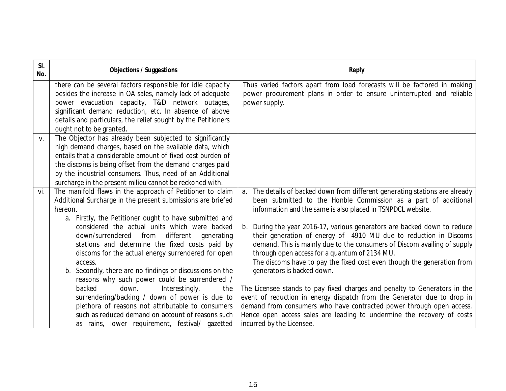| SI.<br>No. | <b>Objections / Suggestions</b>                                                                                                                                                                                                                                                                                                                                                                                                                                                                                                                                                                                                                                                       | <b>Reply</b>                                                                                                                                                                                                                                                                                                                                                                                                                                                                                                                                                                                                                                                                                                                                                                                                                      |
|------------|---------------------------------------------------------------------------------------------------------------------------------------------------------------------------------------------------------------------------------------------------------------------------------------------------------------------------------------------------------------------------------------------------------------------------------------------------------------------------------------------------------------------------------------------------------------------------------------------------------------------------------------------------------------------------------------|-----------------------------------------------------------------------------------------------------------------------------------------------------------------------------------------------------------------------------------------------------------------------------------------------------------------------------------------------------------------------------------------------------------------------------------------------------------------------------------------------------------------------------------------------------------------------------------------------------------------------------------------------------------------------------------------------------------------------------------------------------------------------------------------------------------------------------------|
|            | there can be several factors responsible for idle capacity<br>besides the increase in OA sales, namely lack of adequate<br>power evacuation capacity, T&D network outages,<br>significant demand reduction, etc. In absence of above<br>details and particulars, the relief sought by the Petitioners<br>ought not to be granted.                                                                                                                                                                                                                                                                                                                                                     | Thus varied factors apart from load forecasts will be factored in making<br>power procurement plans in order to ensure uninterrupted and reliable<br>power supply.                                                                                                                                                                                                                                                                                                                                                                                                                                                                                                                                                                                                                                                                |
| V.         | The Objector has already been subjected to significantly<br>high demand charges, based on the available data, which<br>entails that a considerable amount of fixed cost burden of<br>the discoms is being offset from the demand charges paid<br>by the industrial consumers. Thus, need of an Additional<br>surcharge in the present milieu cannot be reckoned with.                                                                                                                                                                                                                                                                                                                 |                                                                                                                                                                                                                                                                                                                                                                                                                                                                                                                                                                                                                                                                                                                                                                                                                                   |
| vi.        | The manifold flaws in the approach of Petitioner to claim<br>Additional Surcharge in the present submissions are briefed<br>hereon.<br>a. Firstly, the Petitioner ought to have submitted and<br>considered the actual units which were backed<br>down/surrendered from<br>different<br>generating<br>stations and determine the fixed costs paid by<br>discoms for the actual energy surrendered for open<br>access.<br>b. Secondly, there are no findings or discussions on the<br>reasons why such power could be surrendered /<br>backed<br>down.<br>Interestingly,<br>the<br>surrendering/backing / down of power is due to<br>plethora of reasons not attributable to consumers | a. The details of backed down from different generating stations are already<br>been submitted to the Honble Commission as a part of additional<br>information and the same is also placed in TSNPDCL website.<br>During the year 2016-17, various generators are backed down to reduce<br>their generation of energy of 4910 MU due to reduction in Discoms<br>demand. This is mainly due to the consumers of Discom availing of supply<br>through open access for a quantum of 2134 MU.<br>The discoms have to pay the fixed cost even though the generation from<br>generators is backed down.<br>The Licensee stands to pay fixed charges and penalty to Generators in the<br>event of reduction in energy dispatch from the Generator due to drop in<br>demand from consumers who have contracted power through open access. |
|            | such as reduced demand on account of reasons such<br>as rains, lower requirement, festival/ gazetted                                                                                                                                                                                                                                                                                                                                                                                                                                                                                                                                                                                  | Hence open access sales are leading to undermine the recovery of costs<br>incurred by the Licensee.                                                                                                                                                                                                                                                                                                                                                                                                                                                                                                                                                                                                                                                                                                                               |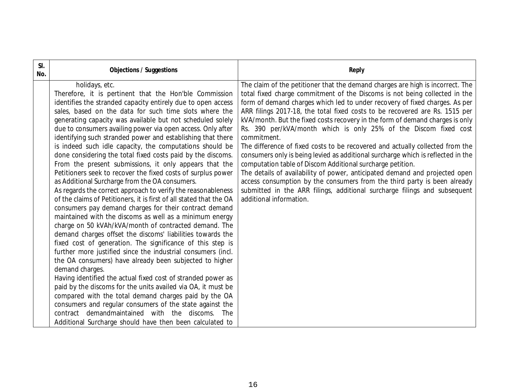| SI.<br>No. | <b>Objections / Suggestions</b>                                                                                                                                                                                                                                                                                                                                                                                                                                                                                                                                                                                                                                                                                                                                                                                                                                                                                                                                                                                                                                                                                                                                                                                                                                                                                                                                                                                                                                                                                                                                                                                                                                          | <b>Reply</b>                                                                                                                                                                                                                                                                                                                                                                                                                                                                                                                                                                                                                                                                                                                                                                                                                                                                                                                                                                                         |
|------------|--------------------------------------------------------------------------------------------------------------------------------------------------------------------------------------------------------------------------------------------------------------------------------------------------------------------------------------------------------------------------------------------------------------------------------------------------------------------------------------------------------------------------------------------------------------------------------------------------------------------------------------------------------------------------------------------------------------------------------------------------------------------------------------------------------------------------------------------------------------------------------------------------------------------------------------------------------------------------------------------------------------------------------------------------------------------------------------------------------------------------------------------------------------------------------------------------------------------------------------------------------------------------------------------------------------------------------------------------------------------------------------------------------------------------------------------------------------------------------------------------------------------------------------------------------------------------------------------------------------------------------------------------------------------------|------------------------------------------------------------------------------------------------------------------------------------------------------------------------------------------------------------------------------------------------------------------------------------------------------------------------------------------------------------------------------------------------------------------------------------------------------------------------------------------------------------------------------------------------------------------------------------------------------------------------------------------------------------------------------------------------------------------------------------------------------------------------------------------------------------------------------------------------------------------------------------------------------------------------------------------------------------------------------------------------------|
|            | holidays, etc.<br>Therefore, it is pertinent that the Hon'ble Commission<br>identifies the stranded capacity entirely due to open access<br>sales, based on the data for such time slots where the<br>generating capacity was available but not scheduled solely<br>due to consumers availing power via open access. Only after<br>identifying such stranded power and establishing that there<br>is indeed such idle capacity, the computations should be<br>done considering the total fixed costs paid by the discoms.<br>From the present submissions, it only appears that the<br>Petitioners seek to recover the fixed costs of surplus power<br>as Additional Surcharge from the OA consumers.<br>As regards the correct approach to verify the reasonableness<br>of the claims of Petitioners, it is first of all stated that the OA<br>consumers pay demand charges for their contract demand<br>maintained with the discoms as well as a minimum energy<br>charge on 50 kVAh/kVA/month of contracted demand. The<br>demand charges offset the discoms' liabilities towards the<br>fixed cost of generation. The significance of this step is<br>further more justified since the industrial consumers (incl.<br>the OA consumers) have already been subjected to higher<br>demand charges.<br>Having identified the actual fixed cost of stranded power as<br>paid by the discoms for the units availed via OA, it must be<br>compared with the total demand charges paid by the OA<br>consumers and regular consumers of the state against the<br>contract demandmaintained with the discoms. The<br>Additional Surcharge should have then been calculated to | The claim of the petitioner that the demand charges are high is incorrect. The<br>total fixed charge commitment of the Discoms is not being collected in the<br>form of demand charges which led to under recovery of fixed charges. As per<br>ARR filings 2017-18, the total fixed costs to be recovered are Rs. 1515 per<br>kVA/month. But the fixed costs recovery in the form of demand charges is only<br>Rs. 390 per/kVA/month which is only 25% of the Discom fixed cost<br>commitment.<br>The difference of fixed costs to be recovered and actually collected from the<br>consumers only is being levied as additional surcharge which is reflected in the<br>computation table of Discom Additional surcharge petition.<br>The details of availability of power, anticipated demand and projected open<br>access consumption by the consumers from the third party is been already<br>submitted in the ARR filings, additional surcharge filings and subsequent<br>additional information. |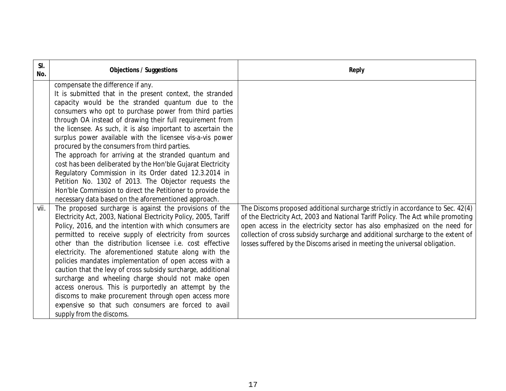| SI.<br>No. | <b>Objections / Suggestions</b>                                                                                                                                                                                                                                                                                                                                                                                                                                                                                                                                                                                                                                                                                                                                                                                                                                                                                                                                                                                                                                                                                                                                                                                                                                                                                                                                                                                                                                                                                                                                                           | <b>Reply</b>                                                                                                                                                                                                                                                                                                                                                                                                     |
|------------|-------------------------------------------------------------------------------------------------------------------------------------------------------------------------------------------------------------------------------------------------------------------------------------------------------------------------------------------------------------------------------------------------------------------------------------------------------------------------------------------------------------------------------------------------------------------------------------------------------------------------------------------------------------------------------------------------------------------------------------------------------------------------------------------------------------------------------------------------------------------------------------------------------------------------------------------------------------------------------------------------------------------------------------------------------------------------------------------------------------------------------------------------------------------------------------------------------------------------------------------------------------------------------------------------------------------------------------------------------------------------------------------------------------------------------------------------------------------------------------------------------------------------------------------------------------------------------------------|------------------------------------------------------------------------------------------------------------------------------------------------------------------------------------------------------------------------------------------------------------------------------------------------------------------------------------------------------------------------------------------------------------------|
| vii.       | compensate the difference if any.<br>It is submitted that in the present context, the stranded<br>capacity would be the stranded quantum due to the<br>consumers who opt to purchase power from third parties<br>through OA instead of drawing their full requirement from<br>the licensee. As such, it is also important to ascertain the<br>surplus power available with the licensee vis-a-vis power<br>procured by the consumers from third parties.<br>The approach for arriving at the stranded quantum and<br>cost has been deliberated by the Hon'ble Gujarat Electricity<br>Regulatory Commission in its Order dated 12.3.2014 in<br>Petition No. 1302 of 2013. The Objector requests the<br>Hon'ble Commission to direct the Petitioner to provide the<br>necessary data based on the aforementioned approach.<br>The proposed surcharge is against the provisions of the<br>Electricity Act, 2003, National Electricity Policy, 2005, Tariff<br>Policy, 2016, and the intention with which consumers are<br>permitted to receive supply of electricity from sources<br>other than the distribution licensee i.e. cost effective<br>electricity. The aforementioned statute along with the<br>policies mandates implementation of open access with a<br>caution that the levy of cross subsidy surcharge, additional<br>surcharge and wheeling charge should not make open<br>access onerous. This is purportedly an attempt by the<br>discoms to make procurement through open access more<br>expensive so that such consumers are forced to avail<br>supply from the discoms. | The Discoms proposed additional surcharge strictly in accordance to Sec. 42(4)<br>of the Electricity Act, 2003 and National Tariff Policy. The Act while promoting<br>open access in the electricity sector has also emphasized on the need for<br>collection of cross subsidy surcharge and additional surcharge to the extent of<br>losses suffered by the Discoms arised in meeting the universal obligation. |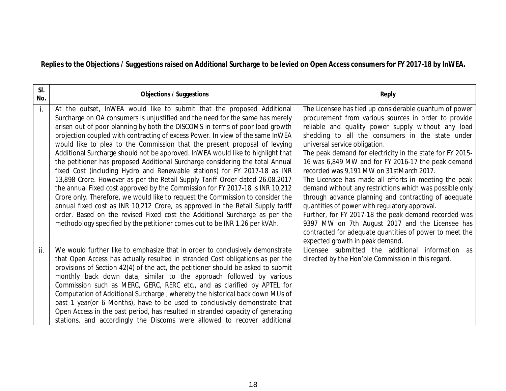**Replies to the Objections / Suggestions raised on Additional Surcharge to be levied on Open Access consumers for FY 2017-18 by InWEA.**

| SI.<br>No. | <b>Objections / Suggestions</b>                                                                                                                                                                                                                                                                                                                                                                                                                                                                                                                                                                                                                                                                                                                                                                                                                                                                                                                                                                                                                                                                                                                          | <b>Reply</b>                                                                                                                                                                                                                                                                                                                                                                                                                                                                                                                                                                                                                                                                                                                                                                                                                                                   |
|------------|----------------------------------------------------------------------------------------------------------------------------------------------------------------------------------------------------------------------------------------------------------------------------------------------------------------------------------------------------------------------------------------------------------------------------------------------------------------------------------------------------------------------------------------------------------------------------------------------------------------------------------------------------------------------------------------------------------------------------------------------------------------------------------------------------------------------------------------------------------------------------------------------------------------------------------------------------------------------------------------------------------------------------------------------------------------------------------------------------------------------------------------------------------|----------------------------------------------------------------------------------------------------------------------------------------------------------------------------------------------------------------------------------------------------------------------------------------------------------------------------------------------------------------------------------------------------------------------------------------------------------------------------------------------------------------------------------------------------------------------------------------------------------------------------------------------------------------------------------------------------------------------------------------------------------------------------------------------------------------------------------------------------------------|
| i.         | At the outset, InWEA would like to submit that the proposed Additional<br>Surcharge on OA consumers is unjustified and the need for the same has merely<br>arisen out of poor planning by both the DISCOMS in terms of poor load growth<br>projection coupled with contracting of excess Power. In view of the same InWEA<br>would like to plea to the Commission that the present proposal of levying<br>Additional Surcharge should not be approved. InWEA would like to highlight that<br>the petitioner has proposed Additional Surcharge considering the total Annual<br>fixed Cost (including Hydro and Renewable stations) for FY 2017-18 as INR<br>13,898 Crore. However as per the Retail Supply Tariff Order dated 26.08.2017<br>the annual Fixed cost approved by the Commission for FY 2017-18 is INR 10,212<br>Crore only. Therefore, we would like to request the Commission to consider the<br>annual fixed cost as INR 10,212 Crore, as approved in the Retail Supply tariff<br>order. Based on the revised Fixed cost the Additional Surcharge as per the<br>methodology specified by the petitioner comes out to be INR 1.26 per kVAh. | The Licensee has tied up considerable quantum of power<br>procurement from various sources in order to provide<br>reliable and quality power supply without any load<br>shedding to all the consumers in the state under<br>universal service obligation.<br>The peak demand for electricity in the state for FY 2015-<br>16 was 6,849 MW and for FY 2016-17 the peak demand<br>recorded was 9,191 MW on 31stMarch 2017.<br>The Licensee has made all efforts in meeting the peak<br>demand without any restrictions which was possible only<br>through advance planning and contracting of adequate<br>quantities of power with regulatory approval.<br>Further, for FY 2017-18 the peak demand recorded was<br>9397 MW on 7th August 2017 and the Licensee has<br>contracted for adequate quantities of power to meet the<br>expected growth in peak demand. |
| ii.        | We would further like to emphasize that in order to conclusively demonstrate<br>that Open Access has actually resulted in stranded Cost obligations as per the<br>provisions of Section 42(4) of the act, the petitioner should be asked to submit<br>monthly back down data, similar to the approach followed by various<br>Commission such as MERC, GERC, RERC etc., and as clarified by APTEL for<br>Computation of Additional Surcharge, whereby the historical back down MUs of<br>past 1 year(or 6 Months), have to be used to conclusively demonstrate that<br>Open Access in the past period, has resulted in stranded capacity of generating<br>stations, and accordingly the Discoms were allowed to recover additional                                                                                                                                                                                                                                                                                                                                                                                                                        | Licensee submitted the additional information<br>as<br>directed by the Hon'ble Commission in this regard.                                                                                                                                                                                                                                                                                                                                                                                                                                                                                                                                                                                                                                                                                                                                                      |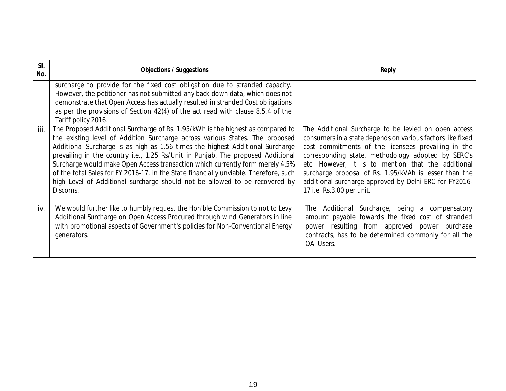| SI.<br>No. | <b>Objections / Suggestions</b>                                                                                                                                                                                                                                                                                                                                                                                                                                                                                                                                                                                                                                                                                                                                                                                                                                                                                                                                        | <b>Reply</b>                                                                                                                                                                                                                                                                                                                                                                                                                           |
|------------|------------------------------------------------------------------------------------------------------------------------------------------------------------------------------------------------------------------------------------------------------------------------------------------------------------------------------------------------------------------------------------------------------------------------------------------------------------------------------------------------------------------------------------------------------------------------------------------------------------------------------------------------------------------------------------------------------------------------------------------------------------------------------------------------------------------------------------------------------------------------------------------------------------------------------------------------------------------------|----------------------------------------------------------------------------------------------------------------------------------------------------------------------------------------------------------------------------------------------------------------------------------------------------------------------------------------------------------------------------------------------------------------------------------------|
| iii.       | surcharge to provide for the fixed cost obligation due to stranded capacity.<br>However, the petitioner has not submitted any back down data, which does not<br>demonstrate that Open Access has actually resulted in stranded Cost obligations<br>as per the provisions of Section 42(4) of the act read with clause 8.5.4 of the<br>Tariff policy 2016.<br>The Proposed Additional Surcharge of Rs. 1.95/kWh is the highest as compared to<br>the existing level of Addition Surcharge across various States. The proposed<br>Additional Surcharge is as high as 1.56 times the highest Additional Surcharge<br>prevailing in the country i.e., 1.25 Rs/Unit in Punjab. The proposed Additional<br>Surcharge would make Open Access transaction which currently form merely 4.5%<br>of the total Sales for FY 2016-17, in the State financially unviable. Therefore, such<br>high Level of Additional surcharge should not be allowed to be recovered by<br>Discoms. | The Additional Surcharge to be levied on open access<br>consumers in a state depends on various factors like fixed<br>cost commitments of the licensees prevailing in the<br>corresponding state, methodology adopted by SERC's<br>etc. However, it is to mention that the additional<br>surcharge proposal of Rs. 1.95/kVAh is lesser than the<br>additional surcharge approved by Delhi ERC for FY2016-<br>17 i.e. Rs.3.00 per unit. |
| iv.        | We would further like to humbly request the Hon'ble Commission to not to Levy<br>Additional Surcharge on Open Access Procured through wind Generators in line<br>with promotional aspects of Government's policies for Non-Conventional Energy<br>generators.                                                                                                                                                                                                                                                                                                                                                                                                                                                                                                                                                                                                                                                                                                          | The Additional Surcharge, being a compensatory<br>amount payable towards the fixed cost of stranded<br>power resulting from approved power purchase<br>contracts, has to be determined commonly for all the<br>OA Users.                                                                                                                                                                                                               |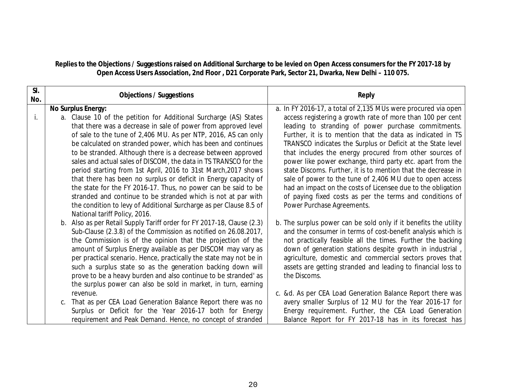### **Replies to the Objections / Suggestions raised on Additional Surcharge to be levied on Open Access consumers for the FY 2017-18 by Open Access Users Association, 2nd Floor , D21 Corporate Park, Sector 21, Dwarka, New Delhi – 110 075.**

| SI.<br>No. | <b>Objections / Suggestions</b>                                            | <b>Reply</b>                                                                 |
|------------|----------------------------------------------------------------------------|------------------------------------------------------------------------------|
|            | <b>No Surplus Energy:</b>                                                  | a. In FY 2016-17, a total of 2,135 MUs were procured via open                |
| j.         | a. Clause 10 of the petition for Additional Surcharge (AS) States          | access registering a growth rate of more than 100 per cent                   |
|            | that there was a decrease in sale of power from approved level             | leading to stranding of power purchase commitments.                          |
|            | of sale to the tune of 2,406 MU. As per NTP, 2016, AS can only             | Further, it is to mention that the data as indicated in TS                   |
|            | be calculated on stranded power, which has been and continues              | TRANSCO indicates the Surplus or Deficit at the State level                  |
|            | to be stranded. Although there is a decrease between approved              | that includes the energy procured from other sources of                      |
|            | sales and actual sales of DISCOM, the data in TS TRANSCO for the           | power like power exchange, third party etc. apart from the                   |
|            | period starting from 1st April, 2016 to 31st March, 2017 shows             | state Discoms. Further, it is to mention that the decrease in                |
|            | that there has been no surplus or deficit in Energy capacity of            | sale of power to the tune of 2,406 MU due to open access                     |
|            | the state for the FY 2016-17. Thus, no power can be said to be             | had an impact on the costs of Licensee due to the obligation                 |
|            | stranded and continue to be stranded which is not at par with              | of paying fixed costs as per the terms and conditions of                     |
|            | the condition to levy of Additional Surcharge as per Clause 8.5 of         | Power Purchase Agreements.                                                   |
|            | National tariff Policy, 2016.                                              |                                                                              |
|            | Also as per Retail Supply Tariff order for FY 2017-18, Clause (2.3)<br>b.  | b. The surplus power can be sold only if it benefits the utility             |
|            | Sub-Clause (2.3.8) of the Commission as notified on 26.08.2017,            | and the consumer in terms of cost-benefit analysis which is                  |
|            | the Commission is of the opinion that the projection of the                | not practically feasible all the times. Further the backing                  |
|            | amount of Surplus Energy available as per DISCOM may vary as               | down of generation stations despite growth in industrial,                    |
|            | per practical scenario. Hence, practically the state may not be in         | agriculture, domestic and commercial sectors proves that                     |
|            | such a surplus state so as the generation backing down will                | assets are getting stranded and leading to financial loss to<br>the Discoms. |
|            | prove to be a heavy burden and also continue to be stranded' as            |                                                                              |
|            | the surplus power can also be sold in market, in turn, earning<br>revenue. | c. &d. As per CEA Load Generation Balance Report there was                   |
|            | That as per CEA Load Generation Balance Report there was no                | avery smaller Surplus of 12 MU for the Year 2016-17 for                      |
|            | C.<br>Surplus or Deficit for the Year 2016-17 both for Energy              | Energy requirement. Further, the CEA Load Generation                         |
|            | requirement and Peak Demand. Hence, no concept of stranded                 | Balance Report for FY 2017-18 has in its forecast has                        |
|            |                                                                            |                                                                              |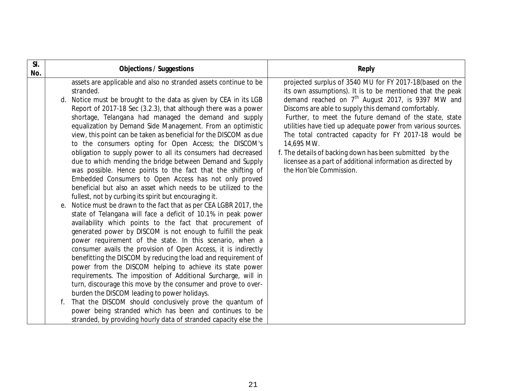| SI.<br>No. | <b>Objections / Suggestions</b>                                                                                                                                                                                                                                                                                                                                                                                                                                                                                                                                                                                                                                                                                                                                                                                                                                                                                                                                                                                                                                                                                                                                                                                                                                                                                                                                                                                                                                                                                                                                                                                                                                                                                                                                              | <b>Reply</b>                                                                                                                                                                                                                                                                                                                                                                                                                                                                                                                                                                              |
|------------|------------------------------------------------------------------------------------------------------------------------------------------------------------------------------------------------------------------------------------------------------------------------------------------------------------------------------------------------------------------------------------------------------------------------------------------------------------------------------------------------------------------------------------------------------------------------------------------------------------------------------------------------------------------------------------------------------------------------------------------------------------------------------------------------------------------------------------------------------------------------------------------------------------------------------------------------------------------------------------------------------------------------------------------------------------------------------------------------------------------------------------------------------------------------------------------------------------------------------------------------------------------------------------------------------------------------------------------------------------------------------------------------------------------------------------------------------------------------------------------------------------------------------------------------------------------------------------------------------------------------------------------------------------------------------------------------------------------------------------------------------------------------------|-------------------------------------------------------------------------------------------------------------------------------------------------------------------------------------------------------------------------------------------------------------------------------------------------------------------------------------------------------------------------------------------------------------------------------------------------------------------------------------------------------------------------------------------------------------------------------------------|
|            | assets are applicable and also no stranded assets continue to be<br>stranded.<br>Notice must be brought to the data as given by CEA in its LGB<br>d.<br>Report of 2017-18 Sec (3.2.3), that although there was a power<br>shortage, Telangana had managed the demand and supply<br>equalization by Demand Side Management. From an optimistic<br>view, this point can be taken as beneficial for the DISCOM as due<br>to the consumers opting for Open Access; the DISCOM's<br>obligation to supply power to all its consumers had decreased<br>due to which mending the bridge between Demand and Supply<br>was possible. Hence points to the fact that the shifting of<br>Embedded Consumers to Open Access has not only proved<br>beneficial but also an asset which needs to be utilized to the<br>fullest, not by curbing its spirit but encouraging it.<br>Notice must be drawn to the fact that as per CEA LGBR 2017, the<br>e.<br>state of Telangana will face a deficit of 10.1% in peak power<br>availability which points to the fact that procurement of<br>generated power by DISCOM is not enough to fulfill the peak<br>power requirement of the state. In this scenario, when a<br>consumer avails the provision of Open Access, it is indirectly<br>benefitting the DISCOM by reducing the load and requirement of<br>power from the DISCOM helping to achieve its state power<br>requirements. The imposition of Additional Surcharge, will in<br>turn, discourage this move by the consumer and prove to over-<br>burden the DISCOM leading to power holidays.<br>That the DISCOM should conclusively prove the quantum of<br>power being stranded which has been and continues to be<br>stranded, by providing hourly data of stranded capacity else the | projected surplus of 3540 MU for FY 2017-18(based on the<br>its own assumptions). It is to be mentioned that the peak<br>demand reached on $7th$ August 2017, is 9397 MW and<br>Discoms are able to supply this demand comfortably.<br>Further, to meet the future demand of the state, state<br>utilities have tied up adequate power from various sources.<br>The total contracted capacity for FY 2017-18 would be<br>14,695 MW.<br>f. The details of backing down has been submitted by the<br>licensee as a part of additional information as directed by<br>the Hon'ble Commission. |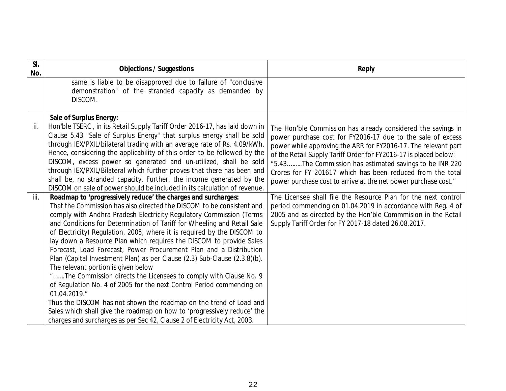| SI.<br>No. | <b>Objections / Suggestions</b>                                                                                                                                                                                                                                                                                                                                                                                                                                                                                                                                                                                                                                                                                                                                                                                                                                                                                                                                                                                                 | <b>Reply</b>                                                                                                                                                                                                                                                                                                                                                                                                                                                 |
|------------|---------------------------------------------------------------------------------------------------------------------------------------------------------------------------------------------------------------------------------------------------------------------------------------------------------------------------------------------------------------------------------------------------------------------------------------------------------------------------------------------------------------------------------------------------------------------------------------------------------------------------------------------------------------------------------------------------------------------------------------------------------------------------------------------------------------------------------------------------------------------------------------------------------------------------------------------------------------------------------------------------------------------------------|--------------------------------------------------------------------------------------------------------------------------------------------------------------------------------------------------------------------------------------------------------------------------------------------------------------------------------------------------------------------------------------------------------------------------------------------------------------|
|            | same is liable to be disapproved due to failure of "conclusive<br>demonstration" of the stranded capacity as demanded by<br>DISCOM.                                                                                                                                                                                                                                                                                                                                                                                                                                                                                                                                                                                                                                                                                                                                                                                                                                                                                             |                                                                                                                                                                                                                                                                                                                                                                                                                                                              |
| ii.        | <b>Sale of Surplus Energy:</b><br>Hon'ble TSERC, in its Retail Supply Tariff Order 2016-17, has laid down in<br>Clause 5.43 "Sale of Surplus Energy" that surplus energy shall be sold<br>through IEX/PXIL/bilateral trading with an average rate of Rs. 4.09/kWh.<br>Hence, considering the applicability of this order to be followed by the<br>DISCOM, excess power so generated and un-utilized, shall be sold<br>through IEX/PXIL/Bilateral which further proves that there has been and<br>shall be, no stranded capacity. Further, the income generated by the<br>DISCOM on sale of power should be included in its calculation of revenue.                                                                                                                                                                                                                                                                                                                                                                              | The Hon'ble Commission has already considered the savings in<br>power purchase cost for FY2016-17 due to the sale of excess<br>power while approving the ARR for FY2016-17. The relevant part<br>of the Retail Supply Tariff Order for FY2016-17 is placed below:<br>"5.43The Commission has estimated savings to be INR 220<br>Crores for FY 201617 which has been reduced from the total<br>power purchase cost to arrive at the net power purchase cost." |
| iii.       | Roadmap to 'progressively reduce' the charges and surcharges:<br>That the Commission has also directed the DISCOM to be consistent and<br>comply with Andhra Pradesh Electricity Regulatory Commission (Terms<br>and Conditions for Determination of Tariff for Wheeling and Retail Sale<br>of Electricity) Regulation, 2005, where it is required by the DISCOM to<br>lay down a Resource Plan which requires the DISCOM to provide Sales<br>Forecast, Load Forecast, Power Procurement Plan and a Distribution<br>Plan (Capital Investment Plan) as per Clause (2.3) Sub-Clause (2.3.8)(b).<br>The relevant portion is given below<br>"The Commission directs the Licensees to comply with Clause No. 9<br>of Regulation No. 4 of 2005 for the next Control Period commencing on<br>01,04.2019."<br>Thus the DISCOM has not shown the roadmap on the trend of Load and<br>Sales which shall give the roadmap on how to 'progressively reduce' the<br>charges and surcharges as per Sec 42, Clause 2 of Electricity Act, 2003. | The Licensee shall file the Resource Plan for the next control<br>period commencing on 01.04.2019 in accordance with Reg. 4 of<br>2005 and as directed by the Hon'ble Commmision in the Retail<br>Supply Tariff Order for FY 2017-18 dated 26.08.2017.                                                                                                                                                                                                       |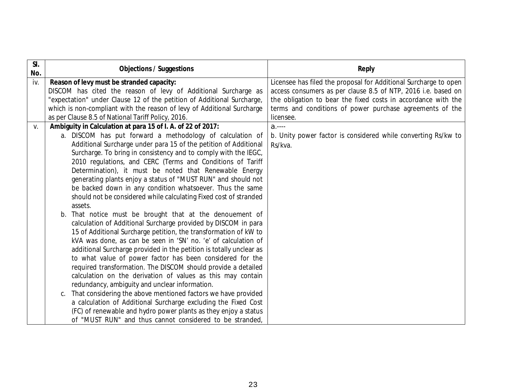| SI.<br>No.  | <b>Objections / Suggestions</b>                                                                                                                                                                                                                                                                                                                                                                                                                                                                                                                                                                                                                                                                                                                                                                                                                                                                                                                                                                                                                                                                                                                                                                                                                                                                                                                                                                                                                                         | <b>Reply</b>                                                                                                                                                                                                                                                                |
|-------------|-------------------------------------------------------------------------------------------------------------------------------------------------------------------------------------------------------------------------------------------------------------------------------------------------------------------------------------------------------------------------------------------------------------------------------------------------------------------------------------------------------------------------------------------------------------------------------------------------------------------------------------------------------------------------------------------------------------------------------------------------------------------------------------------------------------------------------------------------------------------------------------------------------------------------------------------------------------------------------------------------------------------------------------------------------------------------------------------------------------------------------------------------------------------------------------------------------------------------------------------------------------------------------------------------------------------------------------------------------------------------------------------------------------------------------------------------------------------------|-----------------------------------------------------------------------------------------------------------------------------------------------------------------------------------------------------------------------------------------------------------------------------|
| iv.         | Reason of levy must be stranded capacity:<br>DISCOM has cited the reason of levy of Additional Surcharge as<br>"expectation" under Clause 12 of the petition of Additional Surcharge,<br>which is non-compliant with the reason of levy of Additional Surcharge<br>as per Clause 8.5 of National Tariff Policy, 2016.                                                                                                                                                                                                                                                                                                                                                                                                                                                                                                                                                                                                                                                                                                                                                                                                                                                                                                                                                                                                                                                                                                                                                   | Licensee has filed the proposal for Additional Surcharge to open<br>access consumers as per clause 8.5 of NTP, 2016 i.e. based on<br>the obligation to bear the fixed costs in accordance with the<br>terms and conditions of power purchase agreements of the<br>licensee. |
| $V_{\cdot}$ | Ambiguity in Calculation at para 15 of I. A. of 22 of 2017:<br>a. DISCOM has put forward a methodology of calculation of<br>Additional Surcharge under para 15 of the petition of Additional<br>Surcharge. To bring in consistency and to comply with the IEGC,<br>2010 regulations, and CERC (Terms and Conditions of Tariff<br>Determination), it must be noted that Renewable Energy<br>generating plants enjoy a status of "MUST RUN" and should not<br>be backed down in any condition whatsoever. Thus the same<br>should not be considered while calculating Fixed cost of stranded<br>assets.<br>b. That notice must be brought that at the denouement of<br>calculation of Additional Surcharge provided by DISCOM in para<br>15 of Additional Surcharge petition, the transformation of kW to<br>kVA was done, as can be seen in 'SN' no. 'e' of calculation of<br>additional Surcharge provided in the petition is totally unclear as<br>to what value of power factor has been considered for the<br>required transformation. The DISCOM should provide a detailed<br>calculation on the derivation of values as this may contain<br>redundancy, ambiguity and unclear information.<br>That considering the above mentioned factors we have provided<br>C.<br>a calculation of Additional Surcharge excluding the Fixed Cost<br>(FC) of renewable and hydro power plants as they enjoy a status<br>of "MUST RUN" and thus cannot considered to be stranded, | $a$<br>b. Unity power factor is considered while converting Rs/kw to<br>Rs/kva.                                                                                                                                                                                             |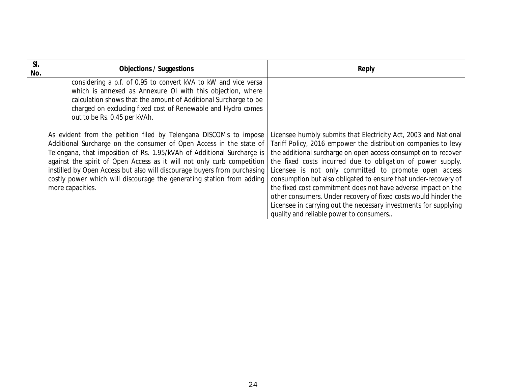| SI.<br>No. | <b>Objections / Suggestions</b>                                                                                                                                                                                                                                                                                                                                                                                                                                       | <b>Reply</b>                                                                                                                                                                                                                                                                                                                                                                                                                                                                                                                                                                                                                                      |
|------------|-----------------------------------------------------------------------------------------------------------------------------------------------------------------------------------------------------------------------------------------------------------------------------------------------------------------------------------------------------------------------------------------------------------------------------------------------------------------------|---------------------------------------------------------------------------------------------------------------------------------------------------------------------------------------------------------------------------------------------------------------------------------------------------------------------------------------------------------------------------------------------------------------------------------------------------------------------------------------------------------------------------------------------------------------------------------------------------------------------------------------------------|
|            | considering a p.f. of 0.95 to convert kVA to kW and vice versa<br>which is annexed as Annexure OI with this objection, where<br>calculation shows that the amount of Additional Surcharge to be<br>charged on excluding fixed cost of Renewable and Hydro comes<br>out to be Rs. 0.45 per kVAh.                                                                                                                                                                       |                                                                                                                                                                                                                                                                                                                                                                                                                                                                                                                                                                                                                                                   |
|            | As evident from the petition filed by Telengana DISCOMs to impose<br>Additional Surcharge on the consumer of Open Access in the state of<br>Telengana, that imposition of Rs. 1.95/kVAh of Additional Surcharge is<br>against the spirit of Open Access as it will not only curb competition<br>instilled by Open Access but also will discourage buyers from purchasing<br>costly power which will discourage the generating station from adding<br>more capacities. | Licensee humbly submits that Electricity Act, 2003 and National<br>Tariff Policy, 2016 empower the distribution companies to levy<br>the additional surcharge on open access consumption to recover<br>the fixed costs incurred due to obligation of power supply.<br>Licensee is not only committed to promote open access<br>consumption but also obligated to ensure that under-recovery of<br>the fixed cost commitment does not have adverse impact on the<br>other consumers. Under recovery of fixed costs would hinder the<br>Licensee in carrying out the necessary investments for supplying<br>quality and reliable power to consumers |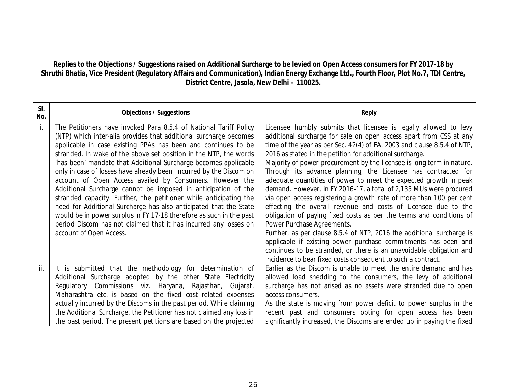# **Replies to the Objections / Suggestions raised on Additional Surcharge to be levied on Open Access consumers for FY 2017-18 by Shruthi Bhatia, Vice President (Regulatory Affairs and Communication), Indian Energy Exchange Ltd., Fourth Floor, Plot No.7, TDI Centre, District Centre, Jasola, New Delhi – 110025.**

| SI.<br>No. | <b>Objections / Suggestions</b>                                                                                                                                                                                                                                                                                                                                                                                                                                                                                                                                                                                                                                                                                                                                                                                                                                    | <b>Reply</b>                                                                                                                                                                                                                                                                                                                                                                                                                                                                                                                                                                                                                                                                                                                                                                                                                                                                                                                                                                                                                      |
|------------|--------------------------------------------------------------------------------------------------------------------------------------------------------------------------------------------------------------------------------------------------------------------------------------------------------------------------------------------------------------------------------------------------------------------------------------------------------------------------------------------------------------------------------------------------------------------------------------------------------------------------------------------------------------------------------------------------------------------------------------------------------------------------------------------------------------------------------------------------------------------|-----------------------------------------------------------------------------------------------------------------------------------------------------------------------------------------------------------------------------------------------------------------------------------------------------------------------------------------------------------------------------------------------------------------------------------------------------------------------------------------------------------------------------------------------------------------------------------------------------------------------------------------------------------------------------------------------------------------------------------------------------------------------------------------------------------------------------------------------------------------------------------------------------------------------------------------------------------------------------------------------------------------------------------|
| i.         | The Petitioners have invoked Para 8.5.4 of National Tariff Policy<br>(NTP) which inter-alia provides that additional surcharge becomes<br>applicable in case existing PPAs has been and continues to be<br>stranded. In wake of the above set position in the NTP, the words<br>'has been' mandate that Additional Surcharge becomes applicable<br>only in case of losses have already been incurred by the Discom on<br>account of Open Access availed by Consumers. However the<br>Additional Surcharge cannot be imposed in anticipation of the<br>stranded capacity. Further, the petitioner while anticipating the<br>need for Additional Surcharge has also anticipated that the State<br>would be in power surplus in FY 17-18 therefore as such in the past<br>period Discom has not claimed that it has incurred any losses on<br>account of Open Access. | Licensee humbly submits that licensee is legally allowed to levy<br>additional surcharge for sale on open access apart from CSS at any<br>time of the year as per Sec. 42(4) of EA, 2003 and clause 8.5.4 of NTP,<br>2016 as stated in the petition for additional surcharge.<br>Majority of power procurement by the licensee is long term in nature.<br>Through its advance planning, the Licensee has contracted for<br>adequate quantities of power to meet the expected growth in peak<br>demand. However, in FY 2016-17, a total of 2,135 MUs were procured<br>via open access registering a growth rate of more than 100 per cent<br>effecting the overall revenue and costs of Licensee due to the<br>obligation of paying fixed costs as per the terms and conditions of<br>Power Purchase Agreements.<br>Further, as per clause 8.5.4 of NTP, 2016 the additional surcharge is<br>applicable if existing power purchase commitments has been and<br>continues to be stranded, or there is an unavoidable obligation and |
|            |                                                                                                                                                                                                                                                                                                                                                                                                                                                                                                                                                                                                                                                                                                                                                                                                                                                                    | incidence to bear fixed costs consequent to such a contract.                                                                                                                                                                                                                                                                                                                                                                                                                                                                                                                                                                                                                                                                                                                                                                                                                                                                                                                                                                      |
| ii.        | It is submitted that the methodology for determination of<br>Additional Surcharge adopted by the other State Electricity<br>Regulatory Commissions viz. Haryana, Rajasthan, Gujarat,<br>Maharashtra etc. is based on the fixed cost related expenses<br>actually incurred by the Discoms in the past period. While claiming<br>the Additional Surcharge, the Petitioner has not claimed any loss in                                                                                                                                                                                                                                                                                                                                                                                                                                                                | Earlier as the Discom is unable to meet the entire demand and has<br>allowed load shedding to the consumers, the levy of additional<br>surcharge has not arised as no assets were stranded due to open<br>access consumers.<br>As the state is moving from power deficit to power surplus in the<br>recent past and consumers opting for open access has been                                                                                                                                                                                                                                                                                                                                                                                                                                                                                                                                                                                                                                                                     |
|            | the past period. The present petitions are based on the projected                                                                                                                                                                                                                                                                                                                                                                                                                                                                                                                                                                                                                                                                                                                                                                                                  | significantly increased, the Discoms are ended up in paying the fixed                                                                                                                                                                                                                                                                                                                                                                                                                                                                                                                                                                                                                                                                                                                                                                                                                                                                                                                                                             |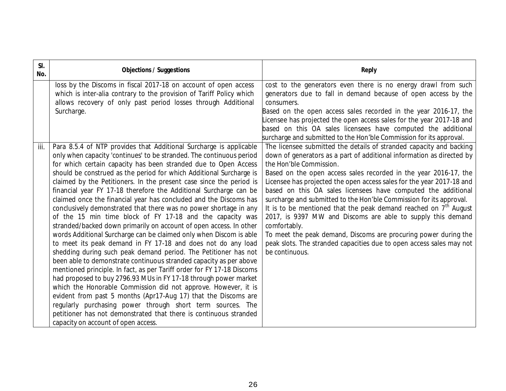| SI.<br>No. | <b>Objections / Suggestions</b>                                                                                                                                                                                                                                                                                                                                                                                                                                                                                                                                                                                                                                                                                                                                                                                                                                                                                                                                                                                                                                                                                                                                                                                                                                                                                                                                                                                                                          | <b>Reply</b>                                                                                                                                                                                                                                                                                                                                                                                                                                                                                                                                                                                                                                                                                                                                                                   |
|------------|----------------------------------------------------------------------------------------------------------------------------------------------------------------------------------------------------------------------------------------------------------------------------------------------------------------------------------------------------------------------------------------------------------------------------------------------------------------------------------------------------------------------------------------------------------------------------------------------------------------------------------------------------------------------------------------------------------------------------------------------------------------------------------------------------------------------------------------------------------------------------------------------------------------------------------------------------------------------------------------------------------------------------------------------------------------------------------------------------------------------------------------------------------------------------------------------------------------------------------------------------------------------------------------------------------------------------------------------------------------------------------------------------------------------------------------------------------|--------------------------------------------------------------------------------------------------------------------------------------------------------------------------------------------------------------------------------------------------------------------------------------------------------------------------------------------------------------------------------------------------------------------------------------------------------------------------------------------------------------------------------------------------------------------------------------------------------------------------------------------------------------------------------------------------------------------------------------------------------------------------------|
|            | loss by the Discoms in fiscal 2017-18 on account of open access<br>which is inter-alia contrary to the provision of Tariff Policy which<br>allows recovery of only past period losses through Additional<br>Surcharge.                                                                                                                                                                                                                                                                                                                                                                                                                                                                                                                                                                                                                                                                                                                                                                                                                                                                                                                                                                                                                                                                                                                                                                                                                                   | cost to the generators even there is no energy drawl from such<br>generators due to fall in demand because of open access by the<br>consumers.<br>Based on the open access sales recorded in the year 2016-17, the<br>icensee has projected the open access sales for the year 2017-18 and<br>based on this OA sales licensees have computed the additional<br>surcharge and submitted to the Hon'ble Commission for its approval.                                                                                                                                                                                                                                                                                                                                             |
| iii.       | Para 8.5.4 of NTP provides that Additional Surcharge is applicable<br>only when capacity 'continues' to be stranded. The continuous period<br>for which certain capacity has been stranded due to Open Access<br>should be construed as the period for which Additional Surcharge is<br>claimed by the Petitioners. In the present case since the period is<br>financial year FY 17-18 therefore the Additional Surcharge can be<br>claimed once the financial year has concluded and the Discoms has<br>conclusively demonstrated that there was no power shortage in any<br>of the 15 min time block of FY 17-18 and the capacity was<br>stranded/backed down primarily on account of open access. In other<br>words Additional Surcharge can be claimed only when Discom is able<br>to meet its peak demand in FY 17-18 and does not do any load<br>shedding during such peak demand period. The Petitioner has not<br>been able to demonstrate continuous stranded capacity as per above<br>mentioned principle. In fact, as per Tariff order for FY 17-18 Discoms<br>had proposed to buy 2796.93 MUs in FY 17-18 through power market<br>which the Honorable Commission did not approve. However, it is<br>evident from past 5 months (Apr17-Aug 17) that the Discoms are<br>regularly purchasing power through short term sources. The<br>petitioner has not demonstrated that there is continuous stranded<br>capacity on account of open access. | The licensee submitted the details of stranded capacity and backing<br>down of generators as a part of additional information as directed by<br>the Hon'ble Commission.<br>Based on the open access sales recorded in the year 2016-17, the<br>Licensee has projected the open access sales for the year 2017-18 and<br>based on this OA sales licensees have computed the additional<br>surcharge and submitted to the Hon'ble Commission for its approval.<br>It is to be mentioned that the peak demand reached on $7th$ August<br>2017, is 9397 MW and Discoms are able to supply this demand<br>comfortably.<br>To meet the peak demand, Discoms are procuring power during the<br>peak slots. The stranded capacities due to open access sales may not<br>be continuous. |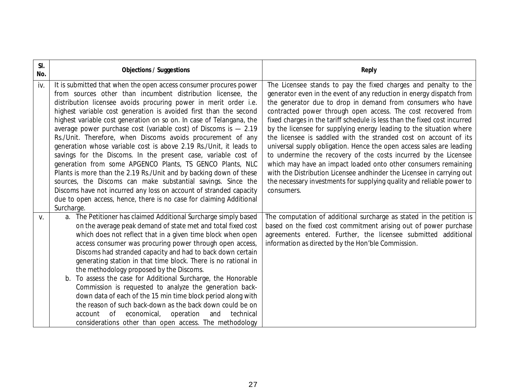| SI.<br>No. | <b>Objections / Suggestions</b>                                                                                                                                                                                                                                                                                                                                                                                                                                                                                                                                                                                                                                                                                                                                                                                                                                                                                                                                                              | <b>Reply</b>                                                                                                                                                                                                                                                                                                                                                                                                                                                                                                                                                                                                                                                                                                                                                                                                                                                                 |
|------------|----------------------------------------------------------------------------------------------------------------------------------------------------------------------------------------------------------------------------------------------------------------------------------------------------------------------------------------------------------------------------------------------------------------------------------------------------------------------------------------------------------------------------------------------------------------------------------------------------------------------------------------------------------------------------------------------------------------------------------------------------------------------------------------------------------------------------------------------------------------------------------------------------------------------------------------------------------------------------------------------|------------------------------------------------------------------------------------------------------------------------------------------------------------------------------------------------------------------------------------------------------------------------------------------------------------------------------------------------------------------------------------------------------------------------------------------------------------------------------------------------------------------------------------------------------------------------------------------------------------------------------------------------------------------------------------------------------------------------------------------------------------------------------------------------------------------------------------------------------------------------------|
| iv.        | It is submitted that when the open access consumer procures power<br>from sources other than incumbent distribution licensee, the<br>distribution licensee avoids procuring power in merit order i.e.<br>highest variable cost generation is avoided first than the second<br>highest variable cost generation on so on. In case of Telangana, the<br>average power purchase cost (variable cost) of Discoms is $-2.19$<br>Rs./Unit. Therefore, when Discoms avoids procurement of any<br>generation whose variable cost is above 2.19 Rs./Unit, it leads to<br>savings for the Discoms. In the present case, variable cost of<br>generation from some APGENCO Plants, TS GENCO Plants, NLC<br>Plants is more than the 2.19 Rs./Unit and by backing down of these<br>sources, the Discoms can make substantial savings. Since the<br>Discoms have not incurred any loss on account of stranded capacity<br>due to open access, hence, there is no case for claiming Additional<br>Surcharge. | The Licensee stands to pay the fixed charges and penalty to the<br>generator even in the event of any reduction in energy dispatch from<br>the generator due to drop in demand from consumers who have<br>contracted power through open access. The cost recovered from<br>fixed charges in the tariff schedule is less than the fixed cost incurred<br>by the licensee for supplying energy leading to the situation where<br>the licensee is saddled with the stranded cost on account of its<br>universal supply obligation. Hence the open access sales are leading<br>to undermine the recovery of the costs incurred by the Licensee<br>which may have an impact loaded onto other consumers remaining<br>with the Distribution Licensee andhinder the Licensee in carrying out<br>the necessary investments for supplying quality and reliable power to<br>consumers. |
| V.         | a. The Petitioner has claimed Additional Surcharge simply based<br>on the average peak demand of state met and total fixed cost<br>which does not reflect that in a given time block when open<br>access consumer was procuring power through open access,<br>Discoms had stranded capacity and had to back down certain<br>generating station in that time block. There is no rational in<br>the methodology proposed by the Discoms.<br>b. To assess the case for Additional Surcharge, the Honorable<br>Commission is requested to analyze the generation back-<br>down data of each of the 15 min time block period along with<br>the reason of such back-down as the back down could be on<br>technical<br>of<br>economical,<br>operation<br>and<br>account<br>considerations other than open access. The methodology                                                                                                                                                                   | The computation of additional surcharge as stated in the petition is<br>based on the fixed cost commitment arising out of power purchase<br>agreements entered. Further, the licensee submitted additional<br>information as directed by the Hon'ble Commission.                                                                                                                                                                                                                                                                                                                                                                                                                                                                                                                                                                                                             |